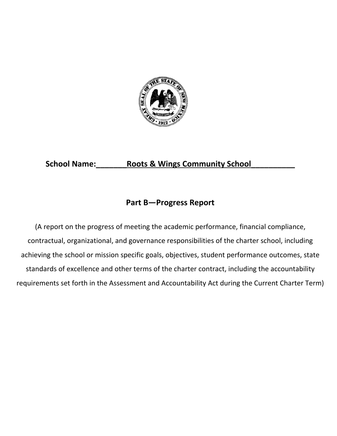

# School Name: \_\_\_\_\_\_\_\_\_Roots & Wings Community School

# **Part B—Progress Report**

(A report on the progress of meeting the academic performance, financial compliance, contractual, organizational, and governance responsibilities of the charter school, including achieving the school or mission specific goals, objectives, student performance outcomes, state standards of excellence and other terms of the charter contract, including the accountability requirements set forth in the Assessment and Accountability Act during the Current Charter Term)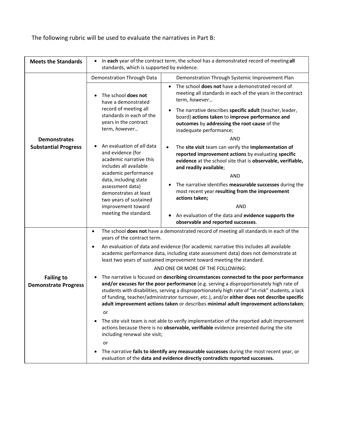| The following rubric will be used to evaluate the narratives in Part B: |  |  |  |  |  |
|-------------------------------------------------------------------------|--|--|--|--|--|
|                                                                         |  |  |  |  |  |

| <b>Meets the Standards</b>                         | In each year of the contract term, the school has a demonstrated record of meeting all<br>$\bullet$<br>standards, which is supported by evidence.                                                                                                                                                                                                                                                                                                                             |                                                                                                                                                                                                                                                                                                                                                                                                                                                                   |  |  |
|----------------------------------------------------|-------------------------------------------------------------------------------------------------------------------------------------------------------------------------------------------------------------------------------------------------------------------------------------------------------------------------------------------------------------------------------------------------------------------------------------------------------------------------------|-------------------------------------------------------------------------------------------------------------------------------------------------------------------------------------------------------------------------------------------------------------------------------------------------------------------------------------------------------------------------------------------------------------------------------------------------------------------|--|--|
|                                                    | Demonstration Through Data                                                                                                                                                                                                                                                                                                                                                                                                                                                    | Demonstration Through Systemic Improvement Plan                                                                                                                                                                                                                                                                                                                                                                                                                   |  |  |
|                                                    | The school does not<br>have a demonstrated<br>record of meeting all<br>standards in each of the<br>years in the contract<br>term, however                                                                                                                                                                                                                                                                                                                                     | The school does not have a demonstrated record of<br>$\bullet$<br>meeting all standards in each of the years in the contract<br>term, however<br>The narrative describes specific adult (teacher, leader,<br>$\bullet$<br>board) actions taken to improve performance and<br>outcomes by addressing the root cause of the<br>inadequate performance;<br>AND                                                                                                       |  |  |
| <b>Demonstrates</b><br><b>Substantial Progress</b> | An evaluation of all data<br>and evidence (for<br>academic narrative this<br>includes all available<br>academic performance<br>data, including state<br>assessment data)<br>demonstrates at least<br>two years of sustained<br>improvement toward<br>meeting the standard.                                                                                                                                                                                                    | The site visit team can verify the implementation of<br>reported improvement actions by evaluating specific<br>evidence at the school site that is observable, verifiable,<br>and readily available;<br>AND<br>The narrative identifies measurable successes during the<br>٠<br>most recent year resulting from the improvement<br>actions taken;<br><b>AND</b><br>An evaluation of the data and evidence supports the<br>٠<br>observable and reported successes. |  |  |
|                                                    | $\bullet$<br>years of the contract term.                                                                                                                                                                                                                                                                                                                                                                                                                                      | The school does not have a demonstrated record of meeting all standards in each of the                                                                                                                                                                                                                                                                                                                                                                            |  |  |
|                                                    | An evaluation of data and evidence (for academic narrative this includes all available<br>$\bullet$<br>academic performance data, including state assessment data) does not demonstrate at<br>least two years of sustained improvement toward meeting the standard.<br>AND ONE OR MORE OF THE FOLLOWING:                                                                                                                                                                      |                                                                                                                                                                                                                                                                                                                                                                                                                                                                   |  |  |
| <b>Failing to</b><br><b>Demonstrate Progress</b>   | The narrative is focused on describing circumstances connected to the poor performance<br>and/or excuses for the poor performance (e.g. serving a disproportionately high rate of<br>students with disabilities, serving a disproportionately high rate of "at-risk" students, a lack<br>of funding, teacher/administrator turnover, etc.), and/or either does not describe specific<br>adult improvement actions taken or describes minimal adult improvement actions taken; |                                                                                                                                                                                                                                                                                                                                                                                                                                                                   |  |  |
|                                                    | or<br>The site visit team is not able to verify implementation of the reported adult improvement<br>actions because there is no observable, verifiable evidence presented during the site<br>including renewal site visit;<br>or<br>The narrative fails to identify any measurable successes during the most recent year, or<br>$\bullet$                                                                                                                                     |                                                                                                                                                                                                                                                                                                                                                                                                                                                                   |  |  |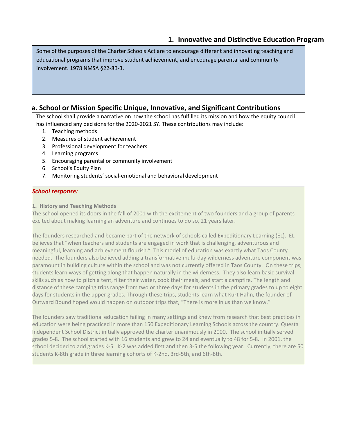## **1. Innovative and Distinctive Education Program**

Some of the purposes of the Charter Schools Act are to encourage different and innovating teaching and educational programs that improve student achievement, and encourage parental and community involvement. 1978 NMSA §22-8B-3.

### **a. School or Mission Specific Unique, Innovative, and Significant Contributions**

The school shall provide a narrative on how the school has fulfilled its mission and how the equity council has influenced any decisions for the 2020-2021 SY. These contributions may include:

- 1. Teaching methods
- 2. Measures of student achievement
- 3. Professional development for teachers
- 4. Learning programs
- 5. Encouraging parental or community involvement
- 6. School's Equity Plan
- 7. Monitoring students' social-emotional and behavioral development

#### *School response:*

**1. History and Teaching Methods**

The school opened its doors in the fall of 2001 with the excitement of two founders and a group of parents excited about making learning an adventure and continues to do so, 21 years later.

The founders researched and became part of the network of schools called Expeditionary Learning (EL). EL believes that "when teachers and students are engaged in work that is challenging, adventurous and meaningful, learning and achievement flourish." This model of education was exactly what Taos County needed. The founders also believed adding a transformative multi-day wilderness adventure component was paramount in building culture within the school and was not currently offered in Taos County. On these trips, students learn ways of getting along that happen naturally in the wilderness. They also learn basic survival skills such as how to pitch a tent, filter their water, cook their meals, and start a campfire. The length and distance of these camping trips range from two or three days for students in the primary grades to up to eight days for students in the upper grades. Through these trips, students learn what Kurt Hahn, the founder of Outward Bound hoped would happen on outdoor trips that, "There is more in us than we know."

The founders saw traditional education failing in many settings and knew from research that best practices in education were being practiced in more than 150 Expeditionary Learning Schools across the country. Questa Independent School District initially approved the charter unanimously in 2000. The school initially served grades 5-8. The school started with 16 students and grew to 24 and eventually to 48 for 5-8. In 2001, the school decided to add grades K-5. K-2 was added first and then 3-5 the following year. Currently, there are 50 students K-8th grade in three learning cohorts of K-2nd, 3rd-5th, and 6th-8th.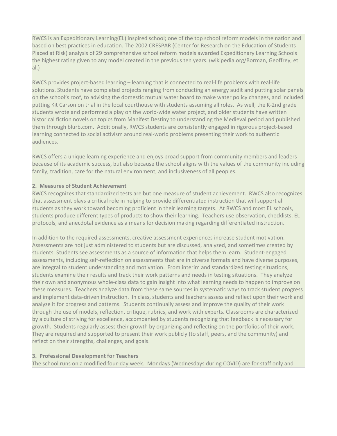RWCS is an Expeditionary Learning(EL) inspired school; one of the top school reform models in the nation and based on best practices in education. The 2002 CRESPAR (Center for Research on the Education of Students Placed at Risk) analysis of 29 comprehensive school reform models awarded Expeditionary Learning Schools the highest rating given to any model created in the previous ten years. (wikipedia.org/Borman, Geoffrey, et al.)

RWCS provides project-based learning – learning that is connected to real-life problems with real-life solutions. Students have completed projects ranging from conducting an energy audit and putting solar panels on the school's roof, to advising the domestic mutual water board to make water policy changes, and included putting Kit Carson on trial in the local courthouse with students assuming all roles. As well, the K-2nd grade students wrote and performed a play on the world-wide water project, and older students have written historical fiction novels on topics from Manifest Destiny to understanding the Medieval period and published them through blurb.com. Additionally, RWCS students are consistently engaged in rigorous project-based learning connected to social activism around real-world problems presenting their work to authentic audiences.

RWCS offers a unique learning experience and enjoys broad support from community members and leaders because of its academic success, but also because the school aligns with the values of the community including family, tradition, care for the natural environment, and inclusiveness of all peoples.

#### **2. Measures of Student Achievement**

RWCS recognizes that standardized tests are but one measure of student achievement. RWCS also recognizes that assessment plays a critical role in helping to provide differentiated instruction that will support all students as they work toward becoming proficient in their learning targets. At RWCS and most EL schools, students produce different types of products to show their learning. Teachers use observation, checklists, EL protocols, and anecdotal evidence as a means for decision making regarding differentiated instruction.

In addition to the required assessments, creative assessment experiences increase student motivation. Assessments are not just administered to students but are discussed, analyzed, and sometimes created by students. Students see assessments as a source of information that helps them learn. Student-engaged assessments, including self-reflection on assessments that are in diverse formats and have diverse purposes, are integral to student understanding and motivation. From interim and standardized testing situations, students examine their results and track their work patterns and needs in testing situations. They analyze their own and anonymous whole-class data to gain insight into what learning needs to happen to improve on these measures. Teachers analyze data from these same sources in systematic ways to track student progress and implement data-driven **i**nstruction. In class, students and teachers assess and reflect upon their work and analyze it for progress and patterns. Students continually assess and improve the quality of their work through the use of models, reflection, critique, rubrics, and work with experts. Classrooms are characterized by a culture of striving for excellence, accompanied by students recognizing that feedback is necessary for growth. Students regularly assess their growth by organizing and reflecting on the portfolios of their work. They are required and supported to present their work publicly (to staff, peers, and the community) and reflect on their strengths, challenges, and goals.

#### **3. Professional Development for Teachers**

The school runs on a modified four-day week. Mondays (Wednesdays during COVID) are for staff only and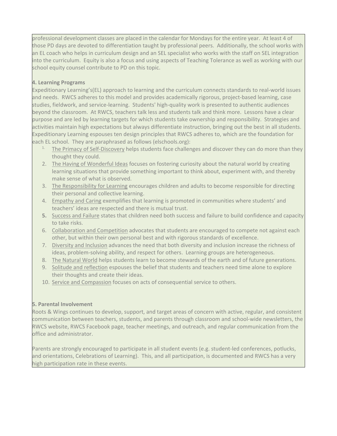professional development classes are placed in the calendar for Mondays for the entire year. At least 4 of those PD days are devoted to differentiation taught by professional peers. Additionally, the school works with an EL coach who helps in curriculum design and an SEL specialist who works with the staff on SEL integration into the curriculum. Equity is also a focus and using aspects of Teaching Tolerance as well as working with our school equity counsel contribute to PD on this topic.

#### **4. Learning Programs**

Expeditionary Learning's(EL) approach to learning and the curriculum connects standards to real-world issues and needs. RWCS adheres to this model and provides academically rigorous, project-based learning, case studies, fieldwork, and service-learning. Students' high-quality work is presented to authentic audiences beyond the classroom. At RWCS, teachers talk less and students talk and think more. Lessons have a clear purpose and are led by learning targets for which students take ownership and responsibility. Strategies and activities maintain high expectations but always differentiate instruction, bringing out the best in all students. Expeditionary Learning espouses ten design principles that RWCS adheres to, which are the foundation for each EL school. They are paraphrased as follows (elschools.org):

- The Primacy of Self-Discovery helps students face challenges and discover they can do more than they thought they could.
- 2. The Having of Wonderful Ideas focuses on fostering curiosity about the natural world by creating learning situations that provide something important to think about, experiment with, and thereby make sense of what is observed.
- 3. The Responsibility for Learning encourages children and adults to become responsible for directing their personal and collective learning.
- 4. Empathy and Caring exemplifies that learning is promoted in communities where students' and teachers' ideas are respected and there is mutual trust.
- **5.** Success and Failure states that children need both success and failure to build confidence and capacity to take risks.
- 6. Collaboration and Competition advocates that students are encouraged to compete not against each other, but within their own personal best and with rigorous standards of excellence.
- 7. Diversity and Inclusion advances the need that both diversity and inclusion increase the richness of ideas, problem-solving ability, and respect for others. Learning groups are heterogeneous.
- 8. The Natural World helps students learn to become stewards of the earth and of future generations.
- 9. Solitude and reflection espouses the belief that students and teachers need time alone to explore their thoughts and create their ideas.
- 10. Service and Compassion focuses on acts of consequential service to others.

#### **5. Parental Involvement**

Roots & Wings continues to develop, support, and target areas of concern with active, regular, and consistent communication between teachers, students, and parents through classroom and school-wide newsletters, the RWCS website, RWCS Facebook page, teacher meetings, and outreach, and regular communication from the office and administrator.

Parents are strongly encouraged to participate in all student events (e.g. student-led conferences, potlucks, and orientations, Celebrations of Learning). This, and all participation, is documented and RWCS has a very high participation rate in these events.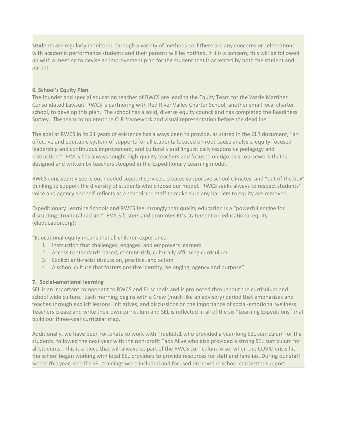Students are regularly monitored through a variety of methods so if there are any concerns or celebrations with academic performance students and their parents will be notified. If it is a concern, this will be followed up with a meeting to devise an improvement plan for the student that is accepted by both the student and parent.

#### **6. School's Equity Plan**

The founder and special education teacher of RWCS are leading the Equity Team for the Yazzie Martinez Consolidated Lawsuit. RWCS is partnering with Red River Valley Charter School, another small local charter school, to develop this plan. The school has a solid, diverse equity council and has completed the Readiness Survey. The team completed the CLR framework and visual representation before the deadline.

The goal at RWCS in its 21 years of existence has always been to provide, as stated in the CLR document, "an effective and equitable system of supports for all students focused on root-cause analysis, equity-focused leadership and continuous improvement, and culturally and linguistically responsive pedagogy and instruction." RWCS has always sought high-quality teachers and focused on rigorous coursework that is designed and written by teachers steeped in the Expeditionary Learning model.

RWCS consistently seeks out needed support services, creates supportive school climates, and "out of the box" thinking to support the diversity of students who choose our model. RWCS seeks always to respect students' voice and agency and self-reflects as a school and staff to make sure any barriers to equity are removed.

Expeditionary Learning Schools and RWCS feel strongly that quality education is a "powerful engine for disrupting structural racism." RWCS fosters and promotes EL's statement on educational equity (eleducation.org):

"Educational equity means that all children experience:

- 1. Instruction that challenges, engages, and empowers learners
- 2. Access to standards-based, content-rich, culturally affirming curriculum
- 3. Explicit anti-racist discussion, practice, and action
- 4. A school culture that fosters positive identity, belonging, agency and purpose"

#### **7. Social-emotional learning**

SEL is an important component to RWCS and EL schools and is promoted throughout the curriculum and school wide culture. Each morning begins with a Crew (much like an advisory) period that emphasizes and teaches through explicit lessons, initiatives, and discussions on the importance of social-emotional wellness. Teachers create and write their own curriculum and SEL is reflected in all of the six "Learning Expeditions" that build our three-year curricular map.

Additionally, we have been fortunate to work with TrueKids1 who provided a year-long SEL curriculum for the students, followed the next year with the non-profit Taos Alive who also provided a strong SEL curriculum for all students. This is a piece that will always be part of the RWCS curriculum. Also, when the COVID crisis hit, the school began working with local SEL providers to provide resources for staff and families. During our staff weeks this year, specific SEL trainings were included and focused on how the school can better support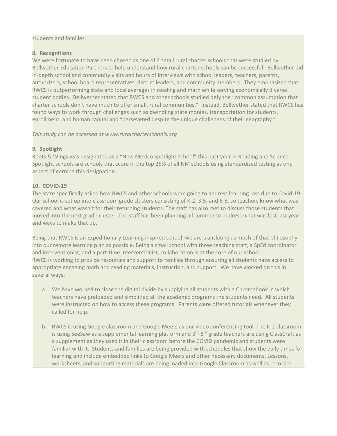#### students and families.

### **8. Recognitions**

We were fortunate to have been chosen as one of 4 small rural charter schools that were studied by Bellwether Education Partners to help understand how rural charter schools can be successful. Bellwether did in-depth school and community visits and hours of interviews with school leaders, teachers, parents, authorizers, school board representatives, district leaders, and community members. They emphasized that RWCS is outperforming state and local averages in reading and math while serving economically diverse student bodies. Bellwether stated that RWCS and other schools studied defy the "common assumption that charter schools don't have much to offer small, rural communities." Instead, Bellwether stated that RWCS has found ways to work through challenges such as dwindling state monies, transportation for students, enrollment, and human capital and "persevered despite the unique challenges of their geography."

*This study can be accessed at www.ruralcharterschools.org*

### **9. Spotlight**

Roots & Wings was designated as a "New Mexico Spotlight School" this past year in Reading and Science. Spotlight schools are schools that score in the top 25% of all NM schools using standardized testing as one aspect of earning this designation.

## **10. COVID-19**

The state specifically asked how RWCS and other schools were going to address learning loss due to Covid-19. Our school is set up into classroom grade clusters consisting of K-2, 3-5, and 6-8, so teachers know what was covered and what wasn't for their returning students. The staff has also met to discuss those students that moved into the next grade cluster. The staff has been planning all summer to address what was lost last year and ways to make that up.

Being that RWCS is an Expeditionary Learning inspired school, we are translating as much of that philosophy into our remote learning plan as possible. Being a small school with three teaching staff, a SpEd coordinator and interventionist, and a part-time interventionist, collaboration is at the core of our school. RWCS is working to provide resources and support to families through ensuring all students have access to appropriate engaging math and reading materials, instruction, and support. We have worked on this in several ways:

- a. We have worked to close the digital divide by supplying all students with a Chromebook in which teachers have preloaded and simplified all the academic programs the students need. All students were instructed on how to access these programs. Parents were offered tutorials whenever they called for help.
- b. RWCS is using Google classroom and Google Meets as our video conferencing tool. The K-2 classroom is using SeeSaw as a supplemental learning platform and  $3<sup>rd</sup>-8<sup>th</sup>$  grade teachers are using ClassCraft as a supplement as they used it in their classroom before the COVID pandemic and students were familiar with it. Students and families are being provided with schedules that show the daily times for learning and include embedded links to Google Meets and other necessary documents. Lessons, worksheets, and supporting materials are being loaded into Google Classroom as well as recorded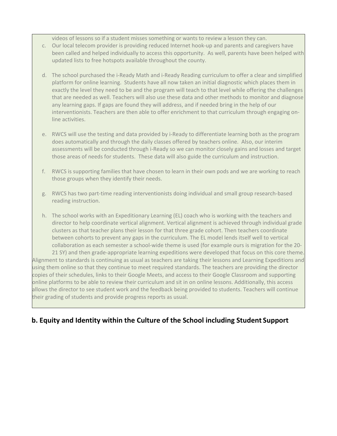videos of lessons so if a student misses something or wants to review a lesson they can.

- c. Our local telecom provider is providing reduced Internet hook-up and parents and caregivers have been called and helped individually to access this opportunity. As well, parents have been helped with updated lists to free hotspots available throughout the county.
- d. The school purchased the i-Ready Math and i-Ready Reading curriculum to offer a clear and simplified platform for online learning. Students have all now taken an initial diagnostic which places them in exactly the level they need to be and the program will teach to that level while offering the challenges that are needed as well. Teachers will also use these data and other methods to monitor and diagnose any learning gaps. If gaps are found they will address, and if needed bring in the help of our interventionists. Teachers are then able to offer enrichment to that curriculum through engaging online activities.
- e. RWCS will use the testing and data provided by i-Ready to differentiate learning both as the program does automatically and through the daily classes offered by teachers online. Also, our interim assessments will be conducted through i-Ready so we can monitor closely gains and losses and target those areas of needs for students. These data will also guide the curriculum and instruction.
- f. RWCS is supporting families that have chosen to learn in their own pods and we are working to reach those groups when they identify their needs.
- g. RWCS has two part-time reading interventionists doing individual and small group research-based reading instruction.
- h. The school works with an Expeditionary Learning (EL) coach who is working with the teachers and director to help coordinate vertical alignment. Vertical alignment is achieved through individual grade clusters as that teacher plans their lesson for that three grade cohort. Then teachers coordinate between cohorts to prevent any gaps in the curriculum. The EL model lends itself well to vertical collaboration as each semester a school-wide theme is used (for example ours is migration for the 20-

21 SY) and then grade-appropriate learning expeditions were developed that focus on this core theme. Alignment to standards is continuing as usual as teachers are taking their lessons and Learning Expeditions and using them online so that they continue to meet required standards. The teachers are providing the director copies of their schedules, links to their Google Meets, and access to their Google Classroom and supporting online platforms to be able to review their curriculum and sit in on online lessons. Additionally, this access allows the director to see student work and the feedback being provided to students. Teachers will continue their grading of students and provide progress reports as usual.

## **b. Equity and Identity within the Culture of the School including Student Support**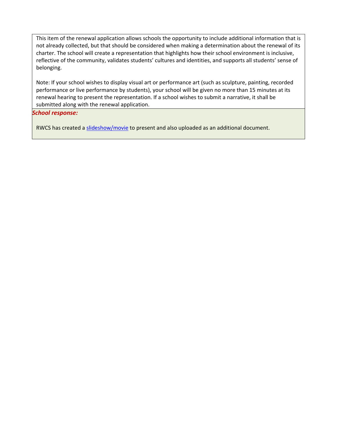This item of the renewal application allows schools the opportunity to include additional information that is not already collected, but that should be considered when making a determination about the renewal of its charter. The school will create a representation that highlights how their school environment is inclusive, reflective of the community, validates students' cultures and identities, and supports all students' sense of belonging.

Note: If your school wishes to display visual art or performance art (such as sculpture, painting, recorded performance or live performance by students), your school will be given no more than 15 minutes at its renewal hearing to present the representation. If a school wishes to submit a narrative, it shall be submitted along with the renewal application.

#### *School response:*

RWCS has created a [slideshow/movie](https://drive.google.com/file/d/1XA0Gf2FDKtQfnbx0F5qXCC5_se4VTRGe/view?usp=sharing) to present and also uploaded as an additional document.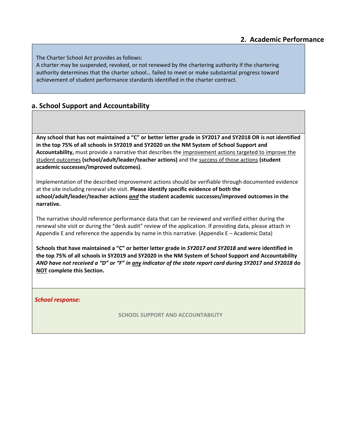The Charter School Act provides as follows:

A charter may be suspended, revoked, or not renewed by the chartering authority if the chartering authority determines that the charter school… failed to meet or make substantial progress toward achievement of student performance standards identified in the charter contract.

## **a. School Support and Accountability**

**Any school that has not maintained a "C" or better letter grade in SY2017 and SY2018 OR is not identified in the top 75% of all schools in SY2019 and SY2020 on the NM System of School Support and Accountability,** must provide a narrative that describes the improvement actions targeted to improve the student outcomes **(school/adult/leader/teacher actions)** and the success of those actions **(student academic successes/improved outcomes)**.

Implementation of the described improvement actions should be verifiable through documented evidence at the site including renewal site visit. **Please identify specific evidence of both the school/adult/leader/teacher actions** *and* **the student academic successes/improved outcomes in the narrative.**

The narrative should reference performance data that can be reviewed and verified either during the renewal site visit or during the "desk audit" review of the application. If providing data, please attach in Appendix E and reference the appendix by name in this narrative. (Appendix E – Academic Data)

**Schools that have maintained a "C" or better letter grade in** *SY2017 and SY2018* **and were identified in the top 75% of all schools in SY2019 and SY2020 in the NM System of School Support and Accountability**  *AND have not received a "D" or "F" in any indicator of the state report card during SY2017 and SY2018* **do NOT complete this Section.**

*School response:*

**SCHOOL SUPPORT AND ACCOUNTABILITY**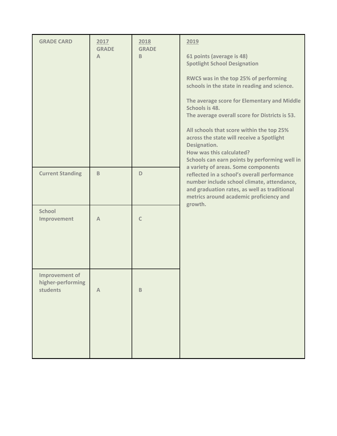| <b>GRADE CARD</b>                               | 2017<br><b>GRADE</b><br>$\mathsf{A}$ | 2018<br><b>GRADE</b><br>B | 2019<br>61 points (average is 48)<br><b>Spotlight School Designation</b><br>RWCS was in the top 25% of performing<br>schools in the state in reading and science.<br>The average score for Elementary and Middle<br>Schools is 48.<br>The average overall score for Districts is 53.<br>All schools that score within the top 25%<br>across the state will receive a Spotlight<br>Designation.<br>How was this calculated? |
|-------------------------------------------------|--------------------------------------|---------------------------|----------------------------------------------------------------------------------------------------------------------------------------------------------------------------------------------------------------------------------------------------------------------------------------------------------------------------------------------------------------------------------------------------------------------------|
| <b>Current Standing</b>                         | B                                    | D                         | Schools can earn points by performing well in<br>a variety of areas. Some components<br>reflected in a school's overall performance<br>number include school climate, attendance,<br>and graduation rates, as well as traditional<br>metrics around academic proficiency and                                                                                                                                               |
| <b>School</b><br>Improvement                    | $\mathbb{A}$                         | $\mathsf{C}$              | growth.                                                                                                                                                                                                                                                                                                                                                                                                                    |
| Improvement of<br>higher-performing<br>students | $\mathbb A$                          | $\mathsf B$               |                                                                                                                                                                                                                                                                                                                                                                                                                            |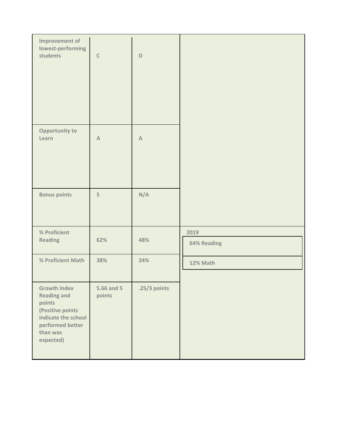| <b>Improvement of</b><br>lowest-performing<br>students                                                                                      | $\mathsf C$          | $\mathsf D$  |                     |
|---------------------------------------------------------------------------------------------------------------------------------------------|----------------------|--------------|---------------------|
| <b>Opportunity to</b><br>Learn                                                                                                              | $\mathbb A$          | $\mathbb A$  |                     |
| <b>Bonus points</b>                                                                                                                         | 5                    | N/A          |                     |
| % Proficient<br><b>Reading</b>                                                                                                              | 62%                  | 48%          | 2019<br>64% Reading |
| % Proficient Math                                                                                                                           | 38%                  | 24%          | 12% Math            |
| <b>Growth Index</b><br><b>Reading and</b><br>points<br>(Positive points<br>indicate the school<br>performed better<br>than was<br>expected) | 5.66 and 5<br>points | .25/3 points |                     |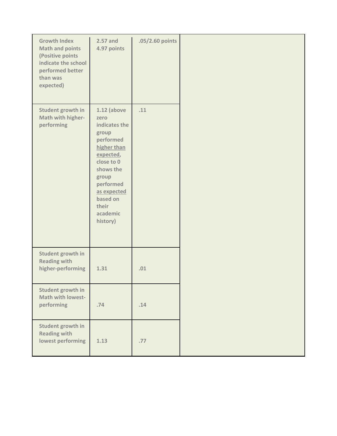| <b>Growth Index</b><br><b>Math and points</b><br>(Positive points<br>indicate the school<br>performed better<br>than was<br>expected) | $2.57$ and<br>4.97 points                                                                                                                                                                             | .05/2.60 points |  |
|---------------------------------------------------------------------------------------------------------------------------------------|-------------------------------------------------------------------------------------------------------------------------------------------------------------------------------------------------------|-----------------|--|
| Student growth in<br>Math with higher-<br>performing                                                                                  | $1.12$ (above<br>zero<br>indicates the<br>group<br>performed<br>higher than<br>expected,<br>close to 0<br>shows the<br>group<br>performed<br>as expected<br>based on<br>their<br>academic<br>history) | .11             |  |
| Student growth in<br><b>Reading with</b><br>higher-performing                                                                         | 1.31                                                                                                                                                                                                  | .01             |  |
| Student growth in<br>Math with lowest-<br>performing                                                                                  | .74                                                                                                                                                                                                   | .14             |  |
| Student growth in<br><b>Reading with</b><br>lowest performing                                                                         | 1.13                                                                                                                                                                                                  | .77             |  |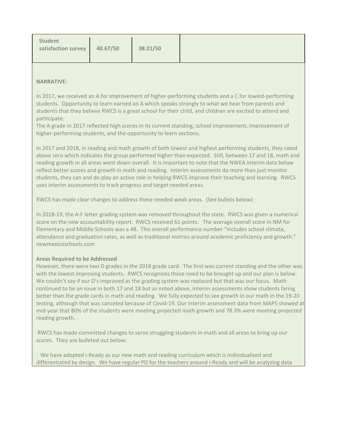#### **NARRATIVE:**

In 2017, we received an A for improvement of higher-performing students and a C for lowest-performing students. Opportunity to learn earned an A which speaks strongly to what we hear from parents and students that they believe RWCS is a great school for their child, and children are excited to attend and participate.

The A grade in 2017 reflected high scores in its current standing, school improvement, improvement of higher-performing students, and the opportunity to learn sections.

In 2017 and 2018, in reading and math growth of both lowest and highest performing students, they rated above zero which indicates the group performed higher than expected. Still, between 17 and 18, math and reading growth in all areas went down overall. It is important to note that the NWEA interim data below reflect better scores and growth in math and reading. Interim assessments do more than just monitor students, they can and do play an active role in helping RWCS improve their teaching and learning. RWCS uses interim assessments to track progress and target needed areas.

RWCS has made clear changes to address these needed weak areas. (See bullets below)

In 2018-19, the A-F letter grading system was removed throughout the state. RWCS was given a numerical score on the new accountability report. RWCS received 61 points. The average overall score in NM for Elementary and Middle Schools was a 48. This overall performance number "includes school climate, attendance and graduation rates, as well as traditional metrics around academic proficiency and growth." newmexicoschools.com

#### **Areas Required to be Addressed**

However, there were two D grades in the 2018 grade card. The first was current standing and the other was with the lowest improving students. RWCS recognizes these need to be brought up and our plan is below. We couldn't say if our D's improved as the grading system was replaced but that was our focus. Math continued to be an issue in both 17 and 18 but as noted above, interim assessments show students faring better than the grade cards in math and reading. We fully expected to see growth in our math in the 19-20 testing, although that was canceled because of Covid-19. Our interim assessment data from MAPS showed at mid-year that 80% of the students were meeting projected math growth and 78.3% were meeting projected reading growth.

RWCS has made committed changes to serve struggling students in math and all areas to bring up our scores. They are bulleted out below:

· We have adopted i-Ready as our new math and reading curriculum which is individualized and differentiated by design. We have regular PD for the teachers around i-Ready and will be analyzing data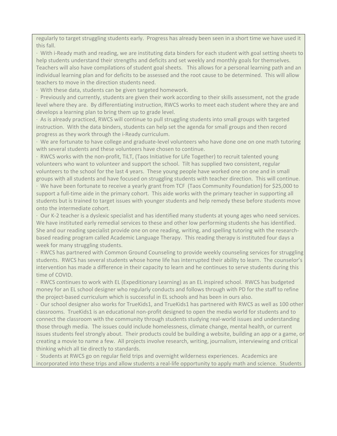regularly to target struggling students early. Progress has already been seen in a short time we have used it this fall.

· With i-Ready math and reading, we are instituting data binders for each student with goal setting sheets to help students understand their strengths and deficits and set weekly and monthly goals for themselves. Teachers will also have compilations of student goal sheets. This allows for a personal learning path and an individual learning plan and for deficits to be assessed and the root cause to be determined. This will allow teachers to move in the direction students need.

· With these data, students can be given targeted homework.

· Previously and currently, students are given their work according to their skills assessment, not the grade level where they are. By differentiating instruction, RWCS works to meet each student where they are and develops a learning plan to bring them up to grade level.

· As is already practiced, RWCS will continue to pull struggling students into small groups with targeted instruction. With the data binders, students can help set the agenda for small groups and then record progress as they work through the i-Ready curriculum.

· We are fortunate to have college and graduate-level volunteers who have done one on one math tutoring with several students and these volunteers have chosen to continue.

· RWCS works with the non-profit, TiLT, (Taos Initiative for Life Together) to recruit talented young volunteers who want to volunteer and support the school. Tilt has supplied two consistent, regular volunteers to the school for the last 4 years. These young people have worked one on one and in small groups with all students and have focused on struggling students with teacher direction. This will continue.

· We have been fortunate to receive a yearly grant from TCF (Taos Community Foundation) for \$25,000 to support a full-time aide in the primary cohort. This aide works with the primary teacher in supporting all students but is trained to target issues with younger students and help remedy these before students move onto the intermediate cohort.

· Our K-2 teacher is a dyslexic specialist and has identified many students at young ages who need services. We have instituted early remedial services to these and other low performing students she has identified. She and our reading specialist provide one on one reading, writing, and spelling tutoring with the researchbased reading program called Academic Language Therapy. This reading therapy is instituted four days a week for many struggling students.

· RWCS has partnered with Common Ground Counseling to provide weekly counseling services for struggling students. RWCS has several students whose home life has interrupted their ability to learn. The counselor's intervention has made a difference in their capacity to learn and he continues to serve students during this time of COVID.

· RWCS continues to work with EL (Expeditionary Learning) as an EL inspired school. RWCS has budgeted money for an EL school designer who regularly conducts and follows through with PD for the staff to refine the project-based curriculum which is successful in EL schools and has been in ours also.

· Our school designer also works for TrueKids1, and TrueKids1 has partnered with RWCS as well as 100 other classrooms. TrueKids1 is an educational non-profit designed to open the media world for students and to connect the classroom with the community through students studying real-world issues and understanding those through media. The issues could include homelessness, climate change, mental health, or current issues students feel strongly about. Their products could be building a website, building an app or a game, or creating a movie to name a few. All projects involve research, writing, journalism, interviewing and critical thinking which all tie directly to standards.

· Students at RWCS go on regular field trips and overnight wilderness experiences. Academics are incorporated into these trips and allow students a real-life opportunity to apply math and science. Students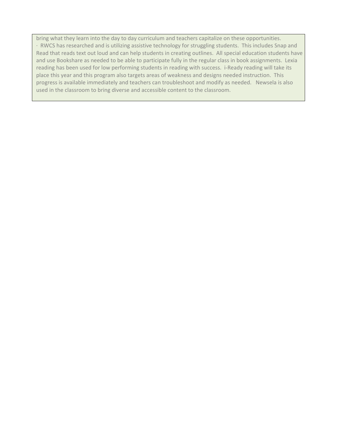bring what they learn into the day to day curriculum and teachers capitalize on these opportunities. · RWCS has researched and is utilizing assistive technology for struggling students. This includes Snap and Read that reads text out loud and can help students in creating outlines. All special education students have and use Bookshare as needed to be able to participate fully in the regular class in book assignments. Lexia reading has been used for low performing students in reading with success. i-Ready reading will take its place this year and this program also targets areas of weakness and designs needed instruction. This progress is available immediately and teachers can troubleshoot and modify as needed. Newsela is also used in the classroom to bring diverse and accessible content to the classroom.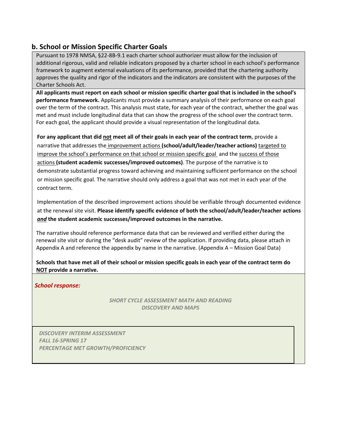## **b. School or Mission Specific Charter Goals**

Pursuant to 1978 NMSA, §22-8B-9.1 each charter school authorizer must allow for the inclusion of additional rigorous, valid and reliable indicators proposed by a charter school in each school's performance framework to augment external evaluations of its performance, provided that the chartering authority approves the quality and rigor of the indicators and the indicators are consistent with the purposes of the Charter Schools Act.

**All applicants must report on each school or mission specific charter goal that is included in the school's performance framework.** Applicants must provide a summary analysis of their performance on each goal over the term of the contract. This analysis must state, for each year of the contract, whether the goal was met and must include longitudinal data that can show the progress of the school over the contract term. For each goal, the applicant should provide a visual representation of the longitudinal data.

**For any applicant that did not meet all of their goals in each year of the contract term**, provide a narrative that addresses the improvement actions **(school/adult/leader/teacher actions)** targeted to improve the school's performance on that school or mission specific goal and the success of those actions **(student academic successes/improved outcomes)**. The purpose of the narrative is to demonstrate substantial progress toward achieving and maintaining sufficient performance on the school or mission specific goal. The narrative should only address a goal that was not met in each year of the contract term.

Implementation of the described improvement actions should be verifiable through documented evidence at the renewal site visit. **Please identify specific evidence of both the school/adult/leader/teacher actions**  *and* **the student academic successes/improved outcomes in the narrative.**

The narrative should reference performance data that can be reviewed and verified either during the renewal site visit or during the "desk audit" review of the application. If providing data, please attach in Appendix A and reference the appendix by name in the narrative. (Appendix A – Mission Goal Data)

**Schools that have met all of their school or mission specific goals in each year of the contract term do NOT provide a narrative.**

*School response:*

*SHORT CYCLE ASSESSMENT MATH AND READING DISCOVERY AND MAPS*

*DISCOVERY INTERIM ASSESSMENT FALL 16-SPRING 17 PERCENTAGE MET GROWTH/PROFICIENCY*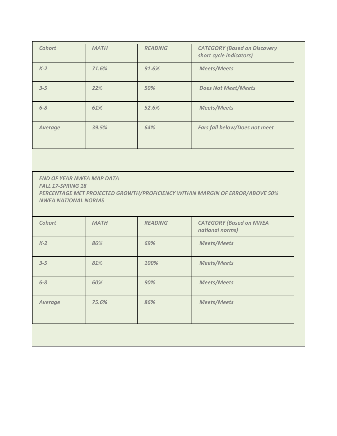| <b>Cohort</b>  | <b>MATH</b> | <b>READING</b> | <b>CATEGORY (Based on Discovery</b><br>short cycle indicators) |
|----------------|-------------|----------------|----------------------------------------------------------------|
| $K-2$          | 71.6%       | 91.6%          | <b>Meets/Meets</b>                                             |
| $3 - 5$        | 22%         | 50%            | <b>Does Not Meet/Meets</b>                                     |
| $6 - 8$        | 61%         | 52.6%          | <b>Meets/Meets</b>                                             |
| <b>Average</b> | 39.5%       | 64%            | <b>Fars fall below/Does not meet</b>                           |

*END OF YEAR NWEA MAP DATA FALL 17-SPRING 18 PERCENTAGE MET PROJECTED GROWTH/PROFICIENCY WITHIN MARGIN OF ERROR/ABOVE 50% NWEA NATIONAL NORMS*

| Cohort         | <b>MATH</b> | <b>READING</b> | <b>CATEGORY (Based on NWEA</b><br>national norms) |
|----------------|-------------|----------------|---------------------------------------------------|
| $K-2$          | 86%         | 69%            | <b>Meets/Meets</b>                                |
| $3 - 5$        | 81%         | 100%           | <b>Meets/Meets</b>                                |
| $6 - 8$        | 60%         | 90%            | <b>Meets/Meets</b>                                |
| <b>Average</b> | 75.6%       | 86%            | <b>Meets/Meets</b>                                |
|                |             |                |                                                   |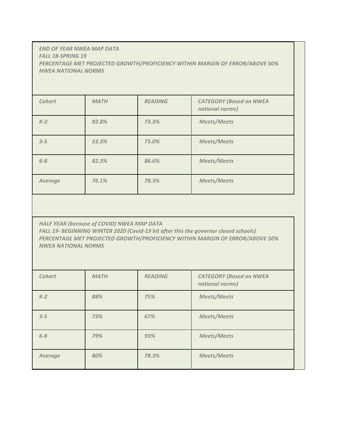#### *END OF YEAR NWEA MAP DATA FALL 18-SPRING 19 PERCENTAGE MET PROJECTED GROWTH/PROFICIENCY WITHIN MARGIN OF ERROR/ABOVE 50% NWEA NATIONAL NORMS*

| <b>Cohort</b>  | <b>MATH</b> | <b>READING</b> | <b>CATEGORY (Based on NWEA</b><br>national norms) |
|----------------|-------------|----------------|---------------------------------------------------|
| $K-2$          | 92.8%       | 73.3%          | <b>Meets/Meets</b>                                |
| $3 - 5$        | 53.3%       | 75.0%          | <b>Meets/Meets</b>                                |
| $6 - 8$        | 82.3%       | 86.6%          | <b>Meets/Meets</b>                                |
| <b>Average</b> | 76.1%       | 78.3%          | <b>Meets/Meets</b>                                |

*HALF YEAR (because of COVID) NWEA MAP DATA FALL 19- BEGINNING WINTER 2020 (Covid-19 hit after this the governor closed schools) PERCENTAGE MET PROJECTED GROWTH/PROFICIENCY WITHIN MARGIN OF ERROR/ABOVE 50% NWEA NATIONAL NORMS*

| Cohort         | <b>MATH</b> | <b>READING</b> | <b>CATEGORY (Based on NWEA</b><br>national norms) |
|----------------|-------------|----------------|---------------------------------------------------|
| $K-2$          | 88%         | 75%            | <b>Meets/Meets</b>                                |
| $3 - 5$        | 73%         | 67%            | <b>Meets/Meets</b>                                |
| $6 - 8$        | 79%         | 93%            | <b>Meets/Meets</b>                                |
| <b>Average</b> | 80%         | 78.3%          | <b>Meets/Meets</b>                                |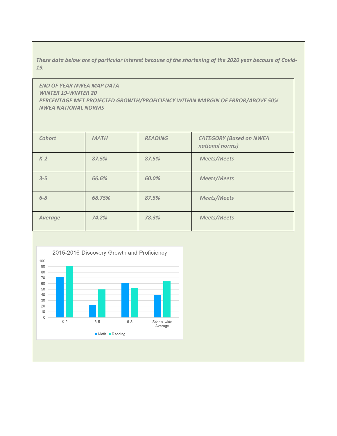*These data below are of particular interest because of the shortening of the 2020 year because of Covid-19.*

*END OF YEAR NWEA MAP DATA WINTER 19-WINTER 20 PERCENTAGE MET PROJECTED GROWTH/PROFICIENCY WITHIN MARGIN OF ERROR/ABOVE 50% NWEA NATIONAL NORMS*

| <b>Cohort</b>  | <b>MATH</b> | <b>READING</b> | <b>CATEGORY (Based on NWEA</b><br>national norms) |
|----------------|-------------|----------------|---------------------------------------------------|
| $K-2$          | 87.5%       | 87.5%          | <b>Meets/Meets</b>                                |
| $3 - 5$        | 66.6%       | 60.0%          | <b>Meets/Meets</b>                                |
| $6 - 8$        | 68.75%      | 87.5%          | <b>Meets/Meets</b>                                |
| <b>Average</b> | 74.2%       | 78.3%          | <b>Meets/Meets</b>                                |

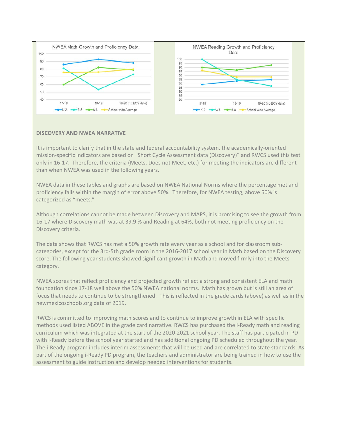

#### **DISCOVERY AND NWEA NARRATIVE**

It is important to clarify that in the state and federal accountability system, the academically-oriented mission-specific indicators are based on "Short Cycle Assessment data (Discovery)" and RWCS used this test only in 16-17. Therefore, the criteria (Meets, Does not Meet, etc.) for meeting the indicators are different than when NWEA was used in the following years.

NWEA data in these tables and graphs are based on NWEA National Norms where the percentage met and proficiency falls within the margin of error above 50%. Therefore, for NWEA testing, above 50% is categorized as "meets."

Although correlations cannot be made between Discovery and MAPS, it is promising to see the growth from 16-17 where Discovery math was at 39.9 % and Reading at 64%, both not meeting proficiency on the Discovery criteria.

The data shows that RWCS has met a 50% growth rate every year as a school and for classroom subcategories, except for the 3rd-5th grade room in the 2016-2017 school year in Math based on the Discovery score. The following year students showed significant growth in Math and moved firmly into the Meets category.

NWEA scores that reflect proficiency and projected growth reflect a strong and consistent ELA and math foundation since 17-18 well above the 50% NWEA national norms. Math has grown but is still an area of focus that needs to continue to be strengthened. This is reflected in the grade cards (above) as well as in the newmexicoschools.org data of 2019.

RWCS is committed to improving math scores and to continue to improve growth in ELA with specific methods used listed ABOVE in the grade card narrative. RWCS has purchased the i-Ready math and reading curriculum which was integrated at the start of the 2020-2021 school year. The staff has participated in PD with i-Ready before the school year started and has additional ongoing PD scheduled throughout the year. The i-Ready program includes interim assessments that will be used and are correlated to state standards. As part of the ongoing i-Ready PD program, the teachers and administrator are being trained in how to use the assessment to guide instruction and develop needed interventions for students.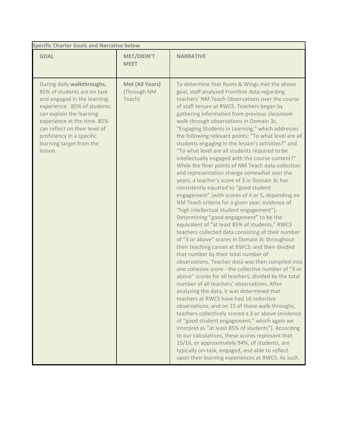| <b>Specific Charter Goals and Narrative below</b>                                                                                                                                                                                                                                       |                                          |                                                                                                                                                                                                                                                                                                                                                                                                                                                                                                                                                                                                                                                                                                                                                                                                                                                                                                                                                                                                                                                                                                                                                                                                                                                                                                                                                                                                                                                                                                                                                                                                                                                                                                                                                                                                                                                                                                                                                                   |  |  |  |
|-----------------------------------------------------------------------------------------------------------------------------------------------------------------------------------------------------------------------------------------------------------------------------------------|------------------------------------------|-------------------------------------------------------------------------------------------------------------------------------------------------------------------------------------------------------------------------------------------------------------------------------------------------------------------------------------------------------------------------------------------------------------------------------------------------------------------------------------------------------------------------------------------------------------------------------------------------------------------------------------------------------------------------------------------------------------------------------------------------------------------------------------------------------------------------------------------------------------------------------------------------------------------------------------------------------------------------------------------------------------------------------------------------------------------------------------------------------------------------------------------------------------------------------------------------------------------------------------------------------------------------------------------------------------------------------------------------------------------------------------------------------------------------------------------------------------------------------------------------------------------------------------------------------------------------------------------------------------------------------------------------------------------------------------------------------------------------------------------------------------------------------------------------------------------------------------------------------------------------------------------------------------------------------------------------------------------|--|--|--|
| <b>GOAL</b>                                                                                                                                                                                                                                                                             | <b>MET/DIDN'T</b><br><b>MEET</b>         | <b>NARRATIVE</b>                                                                                                                                                                                                                                                                                                                                                                                                                                                                                                                                                                                                                                                                                                                                                                                                                                                                                                                                                                                                                                                                                                                                                                                                                                                                                                                                                                                                                                                                                                                                                                                                                                                                                                                                                                                                                                                                                                                                                  |  |  |  |
| During daily walkthroughs,<br>85% of students are on task<br>and engaged in the learning<br>experience. 85% of students<br>can explain the learning<br>experience at the time. 85%<br>can reflect on their level of<br>proficiency in a specific<br>learning target from the<br>lesson. | Met (All Years)<br>(Through NM<br>Teach) | To determine that Roots & Wings met the above<br>goal, staff analyzed Frontline data regarding<br>teachers' NM Teach Observations over the course<br>of staff tenure at RWCS. Teachers began by<br>gathering information from previous classroom<br>walk-through observations in Domain 3c,<br>"Engaging Students in Learning," which addresses<br>the following relevant points: "To what level are all<br>students engaging in the lesson's activities?" and<br>"To what level are all students required to be<br>intellectually engaged with the course content?"<br>While the finer points of NM Teach data collection<br>and representation change somewhat over the<br>years, a teacher's score of 3 in Domain 3c has<br>consistently equated to "good student<br>engagement" (with scores of 4 or 5, depending on<br>NM Teach criteria for a given year, evidence of<br>"high intellectual student engagement").<br>Determining "good engagement" to be the<br>equivalent of "at least 85% of students," RWCS<br>teachers collected data consisting of their number<br>of "3 or above" scores in Domain 3c throughout<br>their teaching career at RWCS; and then divided<br>that number by their total number of<br>observations. Teacher data was then compiled into<br>one cohesive score - the collective number of "3 or<br>above" scores for all teachers, divided by the total<br>number of all teachers' observations. After<br>analyzing the data, it was determined that<br>teachers at RWCS have had 16 collective<br>observations; and on 15 of those walk-throughs,<br>teachers collectively scored a 3 or above (evidence<br>of "good student engagement," which again we<br>interpret as "at least 85% of students"). According<br>to our calculations, these scores represent that<br>15/16, or approximately 94%, of students, are<br>typically on-task, engaged, and able to reflect<br>upon their learning experiences at RWCS. As such, |  |  |  |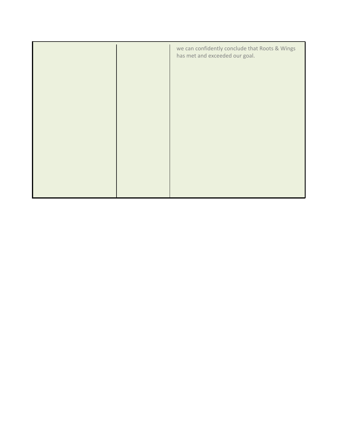|  | we can confidently conclude that Roots & Wings<br>has met and exceeded our goal. |
|--|----------------------------------------------------------------------------------|
|  |                                                                                  |
|  |                                                                                  |
|  |                                                                                  |
|  |                                                                                  |
|  |                                                                                  |
|  |                                                                                  |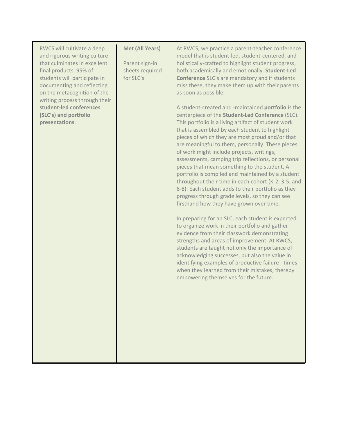| RWCS will cultivate a deep<br>and rigorous writing culture<br>that culminates in excellent<br>final products. 95% of<br>students will participate in<br>documenting and reflecting<br>on the metacognition of the<br>writing process through their<br>student-led conferences<br>(SLC's) and portfolio<br>presentations. | <b>Met (All Years)</b><br>Parent sign-in<br>sheets required<br>for SLC's | At RWCS, we practice a parent-teacher conference<br>model that is student-led, student-centered, and<br>holistically-crafted to highlight student progress,<br>both academically and emotionally. Student-Led<br><b>Conference</b> SLC's are mandatory and if students<br>miss these, they make them up with their parents<br>as soon as possible.<br>A student-created and -maintained portfolio is the<br>centerpiece of the Student-Led Conference (SLC).<br>This portfolio is a living artifact of student work<br>that is assembled by each student to highlight<br>pieces of which they are most proud and/or that<br>are meaningful to them, personally. These pieces<br>of work might include projects, writings,<br>assessments, camping trip reflections, or personal<br>pieces that mean something to the student. A<br>portfolio is compiled and maintained by a student<br>throughout their time in each cohort (K-2, 3-5, and<br>6-8). Each student adds to their portfolio as they<br>progress through grade levels, so they can see<br>firsthand how they have grown over time.<br>In preparing for an SLC, each student is expected<br>to organize work in their portfolio and gather<br>evidence from their classwork demonstrating<br>strengths and areas of improvement. At RWCS,<br>students are taught not only the importance of<br>acknowledging successes, but also the value in<br>identifying examples of productive failure - times<br>when they learned from their mistakes, thereby<br>empowering themselves for the future. |
|--------------------------------------------------------------------------------------------------------------------------------------------------------------------------------------------------------------------------------------------------------------------------------------------------------------------------|--------------------------------------------------------------------------|------------------------------------------------------------------------------------------------------------------------------------------------------------------------------------------------------------------------------------------------------------------------------------------------------------------------------------------------------------------------------------------------------------------------------------------------------------------------------------------------------------------------------------------------------------------------------------------------------------------------------------------------------------------------------------------------------------------------------------------------------------------------------------------------------------------------------------------------------------------------------------------------------------------------------------------------------------------------------------------------------------------------------------------------------------------------------------------------------------------------------------------------------------------------------------------------------------------------------------------------------------------------------------------------------------------------------------------------------------------------------------------------------------------------------------------------------------------------------------------------------------------------------------------------------------|
|--------------------------------------------------------------------------------------------------------------------------------------------------------------------------------------------------------------------------------------------------------------------------------------------------------------------------|--------------------------------------------------------------------------|------------------------------------------------------------------------------------------------------------------------------------------------------------------------------------------------------------------------------------------------------------------------------------------------------------------------------------------------------------------------------------------------------------------------------------------------------------------------------------------------------------------------------------------------------------------------------------------------------------------------------------------------------------------------------------------------------------------------------------------------------------------------------------------------------------------------------------------------------------------------------------------------------------------------------------------------------------------------------------------------------------------------------------------------------------------------------------------------------------------------------------------------------------------------------------------------------------------------------------------------------------------------------------------------------------------------------------------------------------------------------------------------------------------------------------------------------------------------------------------------------------------------------------------------------------|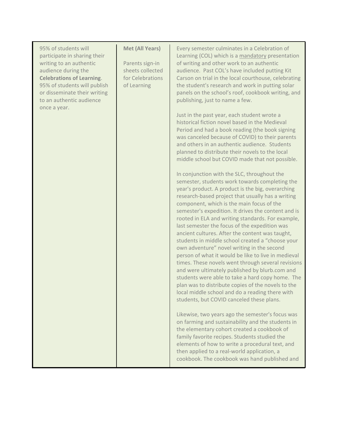| 95% of students will<br>participate in sharing their<br>writing to an authentic<br>audience during the<br><b>Celebrations of Learning.</b><br>95% of students will publish<br>or disseminate their writing<br>to an authentic audience | <b>Met (All Years)</b><br>Parents sign-in<br>sheets collected<br>for Celebrations<br>of Learning | Every semester culminates in a Celebration of<br>Learning (COL) which is a mandatory presentation<br>of writing and other work to an authentic<br>audience. Past COL's have included putting Kit<br>Carson on trial in the local courthouse, celebrating<br>the student's research and work in putting solar<br>panels on the school's roof, cookbook writing, and<br>publishing, just to name a few.                                                                                                                                                                                                                                                                                                                                                                                                                                                                                                                                           |
|----------------------------------------------------------------------------------------------------------------------------------------------------------------------------------------------------------------------------------------|--------------------------------------------------------------------------------------------------|-------------------------------------------------------------------------------------------------------------------------------------------------------------------------------------------------------------------------------------------------------------------------------------------------------------------------------------------------------------------------------------------------------------------------------------------------------------------------------------------------------------------------------------------------------------------------------------------------------------------------------------------------------------------------------------------------------------------------------------------------------------------------------------------------------------------------------------------------------------------------------------------------------------------------------------------------|
| once a year.                                                                                                                                                                                                                           |                                                                                                  | Just in the past year, each student wrote a<br>historical fiction novel based in the Medieval<br>Period and had a book reading (the book signing<br>was canceled because of COVID) to their parents<br>and others in an authentic audience. Students<br>planned to distribute their novels to the local<br>middle school but COVID made that not possible.                                                                                                                                                                                                                                                                                                                                                                                                                                                                                                                                                                                      |
|                                                                                                                                                                                                                                        |                                                                                                  | In conjunction with the SLC, throughout the<br>semester, students work towards completing the<br>year's product. A product is the big, overarching<br>research-based project that usually has a writing<br>component, which is the main focus of the<br>semester's expedition. It drives the content and is<br>rooted in ELA and writing standards. For example,<br>last semester the focus of the expedition was<br>ancient cultures. After the content was taught,<br>students in middle school created a "choose your<br>own adventure" novel writing in the second<br>person of what it would be like to live in medieval<br>times. These novels went through several revisions<br>and were ultimately published by blurb.com and<br>students were able to take a hard copy home. The<br>plan was to distribute copies of the novels to the<br>local middle school and do a reading there with<br>students, but COVID canceled these plans. |
|                                                                                                                                                                                                                                        |                                                                                                  | Likewise, two years ago the semester's focus was<br>on farming and sustainability and the students in<br>the elementary cohort created a cookbook of<br>family favorite recipes. Students studied the<br>elements of how to write a procedural text, and<br>then applied to a real-world application, a<br>cookbook. The cookbook was hand published and                                                                                                                                                                                                                                                                                                                                                                                                                                                                                                                                                                                        |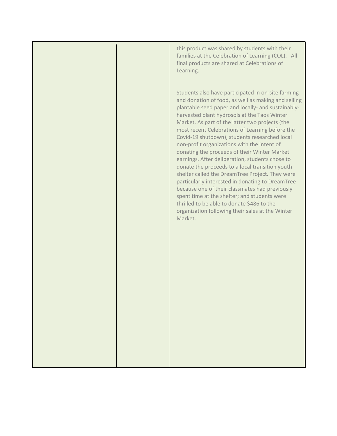|  | this product was shared by students with their<br>families at the Celebration of Learning (COL). All<br>final products are shared at Celebrations of<br>Learning.                                                                                                                                                                                                                                                                                                                                                                                                                                                                                                                                                                                                                                                                                                                                 |
|--|---------------------------------------------------------------------------------------------------------------------------------------------------------------------------------------------------------------------------------------------------------------------------------------------------------------------------------------------------------------------------------------------------------------------------------------------------------------------------------------------------------------------------------------------------------------------------------------------------------------------------------------------------------------------------------------------------------------------------------------------------------------------------------------------------------------------------------------------------------------------------------------------------|
|  | Students also have participated in on-site farming<br>and donation of food, as well as making and selling<br>plantable seed paper and locally- and sustainably-<br>harvested plant hydrosols at the Taos Winter<br>Market. As part of the latter two projects (the<br>most recent Celebrations of Learning before the<br>Covid-19 shutdown), students researched local<br>non-profit organizations with the intent of<br>donating the proceeds of their Winter Market<br>earnings. After deliberation, students chose to<br>donate the proceeds to a local transition youth<br>shelter called the DreamTree Project. They were<br>particularly interested in donating to DreamTree<br>because one of their classmates had previously<br>spent time at the shelter; and students were<br>thrilled to be able to donate \$486 to the<br>organization following their sales at the Winter<br>Market. |
|  |                                                                                                                                                                                                                                                                                                                                                                                                                                                                                                                                                                                                                                                                                                                                                                                                                                                                                                   |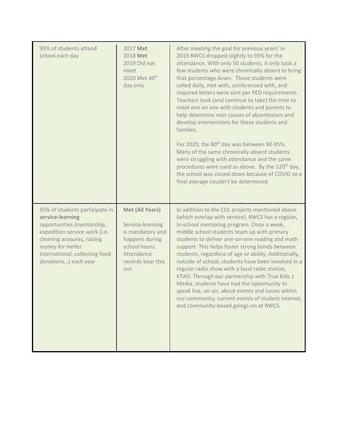| 95% of students attend<br>school each day                                                                                                                                                                                     | 2017 Met<br>2018 Met<br>2019 Did not<br>meet<br>2020 Met 40 <sup>th</sup><br>day only                                                        | After meeting the goal for previous years' in<br>2019 RWCS dropped slightly to 93% for the<br>attendance. With only 50 students, it only took a<br>few students who were chronically absent to bring<br>that percentage down. Those students were<br>called daily, met with, conferenced with, and<br>required letters were sent per PED requirements.<br>Teachers took (and continue to take) the time to<br>meet one on one with students and parents to<br>help determine root causes of absenteeism and<br>develop interventions for these students and<br>families.<br>For 2020, the 80 <sup>th</sup> day was between 90-95%.<br>Many of the same chronically absent students<br>were struggling with attendance and the same<br>procedures were used as above. By the 120 <sup>th</sup> day,<br>the school was closed down because of COVID so a<br>final average couldn't be determined. |
|-------------------------------------------------------------------------------------------------------------------------------------------------------------------------------------------------------------------------------|----------------------------------------------------------------------------------------------------------------------------------------------|-------------------------------------------------------------------------------------------------------------------------------------------------------------------------------------------------------------------------------------------------------------------------------------------------------------------------------------------------------------------------------------------------------------------------------------------------------------------------------------------------------------------------------------------------------------------------------------------------------------------------------------------------------------------------------------------------------------------------------------------------------------------------------------------------------------------------------------------------------------------------------------------------|
| 95% of students participate in<br>service-learning<br>opportunities (mentorship,<br>expedition service work (i.e.<br>cleaning acequias, raising<br>money for Heifer<br>International, collecting food<br>donations) each year | <b>Met (All Years)</b><br>Service-learning<br>is mandatory and<br>happens during<br>school hours.<br>Attendance<br>records bear this<br>out. | In addition to the COL projects mentioned above<br>(which overlap with service), RWCS has a regular,<br>in-school mentoring program. Once a week,<br>middle school students team up with primary<br>students to deliver one-on-one reading and math<br>support. This helps foster strong bonds between<br>students, regardless of age or ability. Additionally,<br>outside of school, students have been involved in a<br>regular radio show with a local radio station,<br>KTAO. Through our partnership with True Kids 1<br>Media, students have had the opportunity to<br>speak live, on-air, about events and issues within<br>our community, current events of student interest,<br>and community-based goings-on at RWCS.                                                                                                                                                                 |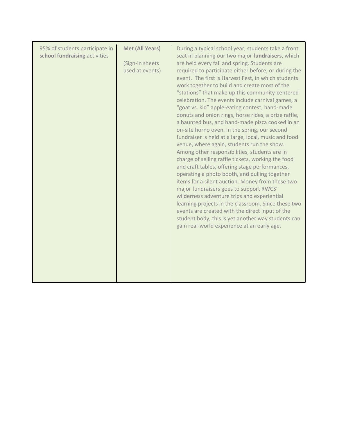| <b>Met (All Years)</b><br>95% of students participate in<br>school fundraising activities<br>(Sign-in sheets<br>used at events)<br>gain real-world experience at an early age. | During a typical school year, students take a front<br>seat in planning our two major fundraisers, which<br>are held every fall and spring. Students are<br>required to participate either before, or during the<br>event. The first is Harvest Fest, in which students<br>work together to build and create most of the<br>"stations" that make up this community-centered<br>celebration. The events include carnival games, a<br>"goat vs. kid" apple-eating contest, hand-made<br>donuts and onion rings, horse rides, a prize raffle,<br>a haunted bus, and hand-made pizza cooked in an<br>on-site horno oven. In the spring, our second<br>fundraiser is held at a large, local, music and food<br>venue, where again, students run the show.<br>Among other responsibilities, students are in<br>charge of selling raffle tickets, working the food<br>and craft tables, offering stage performances,<br>operating a photo booth, and pulling together<br>items for a silent auction. Money from these two<br>major fundraisers goes to support RWCS'<br>wilderness adventure trips and experiential<br>learning projects in the classroom. Since these two<br>events are created with the direct input of the<br>student body, this is yet another way students can |
|--------------------------------------------------------------------------------------------------------------------------------------------------------------------------------|------------------------------------------------------------------------------------------------------------------------------------------------------------------------------------------------------------------------------------------------------------------------------------------------------------------------------------------------------------------------------------------------------------------------------------------------------------------------------------------------------------------------------------------------------------------------------------------------------------------------------------------------------------------------------------------------------------------------------------------------------------------------------------------------------------------------------------------------------------------------------------------------------------------------------------------------------------------------------------------------------------------------------------------------------------------------------------------------------------------------------------------------------------------------------------------------------------------------------------------------------------------------------|
|                                                                                                                                                                                |                                                                                                                                                                                                                                                                                                                                                                                                                                                                                                                                                                                                                                                                                                                                                                                                                                                                                                                                                                                                                                                                                                                                                                                                                                                                              |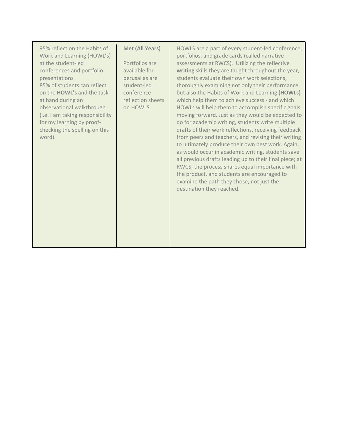| Met (All Years)<br>95% reflect on the Habits of<br>Work and Learning (HOWL's)<br>at the student-led<br>Portfolios are<br>available for<br>conferences and portfolio<br>presentations<br>perusal as are<br>85% of students can reflect<br>student-led<br>on the HOWL's and the task<br>conference<br>reflection sheets<br>at hand during an<br>observational walkthrough<br>on HOWLS.<br>(i.e. I am taking responsibility<br>for my learning by proof-<br>checking the spelling on this<br>word). | HOWLS are a part of every student-led conference,<br>portfolios, and grade cards (called narrative<br>assessments at RWCS). Utilizing the reflective<br>writing skills they are taught throughout the year,<br>students evaluate their own work selections,<br>thoroughly examining not only their performance<br>but also the Habits of Work and Learning (HOWLs)<br>which help them to achieve success - and which<br>HOWLs will help them to accomplish specific goals,<br>moving forward. Just as they would be expected to<br>do for academic writing, students write multiple<br>drafts of their work reflections, receiving feedback<br>from peers and teachers, and revising their writing<br>to ultimately produce their own best work. Again,<br>as would occur in academic writing, students save<br>all previous drafts leading up to their final piece; at<br>RWCS, the process shares equal importance with<br>the product, and students are encouraged to<br>examine the path they chose, not just the<br>destination they reached. |  |
|--------------------------------------------------------------------------------------------------------------------------------------------------------------------------------------------------------------------------------------------------------------------------------------------------------------------------------------------------------------------------------------------------------------------------------------------------------------------------------------------------|----------------------------------------------------------------------------------------------------------------------------------------------------------------------------------------------------------------------------------------------------------------------------------------------------------------------------------------------------------------------------------------------------------------------------------------------------------------------------------------------------------------------------------------------------------------------------------------------------------------------------------------------------------------------------------------------------------------------------------------------------------------------------------------------------------------------------------------------------------------------------------------------------------------------------------------------------------------------------------------------------------------------------------------------------|--|
|--------------------------------------------------------------------------------------------------------------------------------------------------------------------------------------------------------------------------------------------------------------------------------------------------------------------------------------------------------------------------------------------------------------------------------------------------------------------------------------------------|----------------------------------------------------------------------------------------------------------------------------------------------------------------------------------------------------------------------------------------------------------------------------------------------------------------------------------------------------------------------------------------------------------------------------------------------------------------------------------------------------------------------------------------------------------------------------------------------------------------------------------------------------------------------------------------------------------------------------------------------------------------------------------------------------------------------------------------------------------------------------------------------------------------------------------------------------------------------------------------------------------------------------------------------------|--|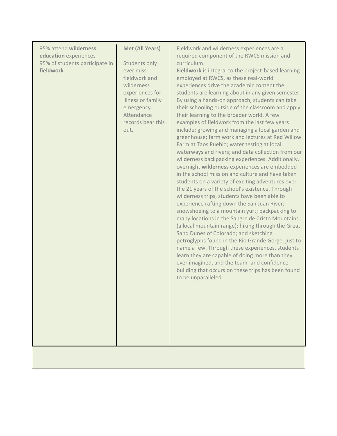| 95% attend wilderness<br>education experiences<br>95% of students participate in<br>fieldwork | <b>Met (All Years)</b><br>Students only<br>ever miss<br>fieldwork and<br>wilderness<br>experiences for<br>illness or family<br>emergency.<br>Attendance<br>records bear this<br>out. | Fieldwork and wilderness experiences are a<br>required component of the RWCS mission and<br>curriculum.<br>Fieldwork is integral to the project-based learning<br>employed at RWCS, as these real-world<br>experiences drive the academic content the<br>students are learning about in any given semester.<br>By using a hands-on approach, students can take<br>their schooling outside of the classroom and apply<br>their learning to the broader world. A few<br>examples of fieldwork from the last few years<br>include: growing and managing a local garden and<br>greenhouse; farm work and lectures at Red Willow<br>Farm at Taos Pueblo; water testing at local<br>waterways and rivers; and data collection from our<br>wilderness backpacking experiences. Additionally,<br>overnight wilderness experiences are embedded<br>in the school mission and culture and have taken<br>students on a variety of exciting adventures over<br>the 21 years of the school's existence. Through<br>wilderness trips, students have been able to<br>experience rafting down the San Juan River;<br>snowshoeing to a mountain yurt; backpacking to<br>many locations in the Sangre de Cristo Mountains<br>(a local mountain range); hiking through the Great<br>Sand Dunes of Colorado; and sketching<br>petroglyphs found in the Rio Grande Gorge, just to<br>name a few. Through these experiences, students<br>learn they are capable of doing more than they<br>ever imagined, and the team- and confidence-<br>building that occurs on these trips has been found<br>to be unparalleled. |
|-----------------------------------------------------------------------------------------------|--------------------------------------------------------------------------------------------------------------------------------------------------------------------------------------|------------------------------------------------------------------------------------------------------------------------------------------------------------------------------------------------------------------------------------------------------------------------------------------------------------------------------------------------------------------------------------------------------------------------------------------------------------------------------------------------------------------------------------------------------------------------------------------------------------------------------------------------------------------------------------------------------------------------------------------------------------------------------------------------------------------------------------------------------------------------------------------------------------------------------------------------------------------------------------------------------------------------------------------------------------------------------------------------------------------------------------------------------------------------------------------------------------------------------------------------------------------------------------------------------------------------------------------------------------------------------------------------------------------------------------------------------------------------------------------------------------------------------------------------------------------------------------------------|
|-----------------------------------------------------------------------------------------------|--------------------------------------------------------------------------------------------------------------------------------------------------------------------------------------|------------------------------------------------------------------------------------------------------------------------------------------------------------------------------------------------------------------------------------------------------------------------------------------------------------------------------------------------------------------------------------------------------------------------------------------------------------------------------------------------------------------------------------------------------------------------------------------------------------------------------------------------------------------------------------------------------------------------------------------------------------------------------------------------------------------------------------------------------------------------------------------------------------------------------------------------------------------------------------------------------------------------------------------------------------------------------------------------------------------------------------------------------------------------------------------------------------------------------------------------------------------------------------------------------------------------------------------------------------------------------------------------------------------------------------------------------------------------------------------------------------------------------------------------------------------------------------------------|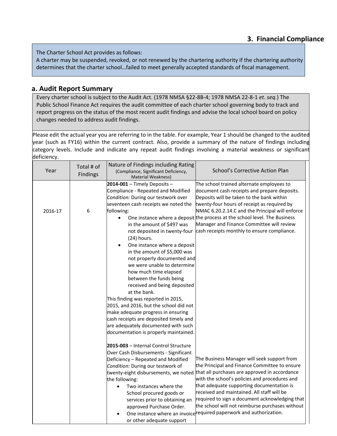The Charter School Act provides as follows:

A charter may be suspended, revoked, or not renewed by the chartering authority if the chartering authority determines that the charter school…failed to meet generally accepted standards of fiscal management.

## **a. Audit Report Summary**

Every charter school is subject to the Audit Act. (1978 NMSA §22-8B-4; 1978 NMSA 22-8-1 *et. seq*.) The Public School Finance Act requires the audit committee of each charter school governing body to track and report progress on the status of the most recent audit findings and advise the local school board on policy changes needed to address audit findings.

Please edit the actual year you are referring to in the table. For example, Year 1 should be changed to the audited year (such as FY16) within the current contract. Also, provide a summary of the nature of findings including category levels. Include and indicate any repeat audit findings involving a material weakness or significant deficiency.

|         | Total # of      | Nature of Findings including Rating       |                                                                            |
|---------|-----------------|-------------------------------------------|----------------------------------------------------------------------------|
| Year    |                 | (Compliance, Significant Deficiency,      | School's Corrective Action Plan                                            |
|         | <b>Findings</b> | <b>Material Weakness)</b>                 |                                                                            |
|         |                 | $2014-001$ - Timely Deposits -            | The school trained alternate employees to                                  |
|         |                 | Compliance - Repeated and Modified        | document cash receipts and prepare deposits.                               |
|         |                 | Condition: During our testwork over       | Deposits will be taken to the bank within                                  |
|         |                 | seventeen cash receipts we noted the      | twenty-four hours of receipt as required by                                |
| 2016-17 | 6               | following:                                | NMAC 6.20.2.14.C and the Principal will enforce                            |
|         |                 | $\bullet$                                 | One instance where a deposit the process at the school level. The Business |
|         |                 | in the amount of \$497 was                | Manager and Finance Committee will review                                  |
|         |                 | not deposited in twenty-four              | cash receipts monthly to ensure compliance.                                |
|         |                 | $(24)$ hours.                             |                                                                            |
|         |                 | One instance where a deposit<br>$\bullet$ |                                                                            |
|         |                 | in the amount of \$5,000 was              |                                                                            |
|         |                 | not properly documented and               |                                                                            |
|         |                 | we were unable to determine               |                                                                            |
|         |                 | how much time elapsed                     |                                                                            |
|         |                 | between the funds being                   |                                                                            |
|         |                 | received and being deposited              |                                                                            |
|         |                 | at the bank.                              |                                                                            |
|         |                 | This finding was reported in 2015,        |                                                                            |
|         |                 | 2015, and 2016, but the school did not    |                                                                            |
|         |                 | make adequate progress in ensuring        |                                                                            |
|         |                 | cash receipts are deposited timely and    |                                                                            |
|         |                 | are adequately documented with such       |                                                                            |
|         |                 | documentation is properly maintained.     |                                                                            |
|         |                 | 2015-003 - Internal Control Structure     |                                                                            |
|         |                 | Over Cash Disbursements - Significant     |                                                                            |
|         |                 | Deficiency - Repeated and Modified        | The Business Manager will seek support from                                |
|         |                 | Condition: During our testwork of         | the Principal and Finance Committee to ensure                              |
|         |                 | twenty-eight disbursements, we noted      | that all purchases are approved in accordance                              |
|         |                 | the following:                            | with the school's policies and procedures and                              |
|         |                 | Two instances where the                   | that adequate supporting documentation is                                  |
|         |                 | School procured goods or                  | received and maintained. All staff will be                                 |
|         |                 | services prior to obtaining an            | required to sign a document acknowledging that                             |
|         |                 | approved Purchase Order.                  | the school will not reimburse purchases without                            |
|         |                 |                                           | One instance where an invoice required paperwork and authorization.        |
|         |                 | or other adequate support                 |                                                                            |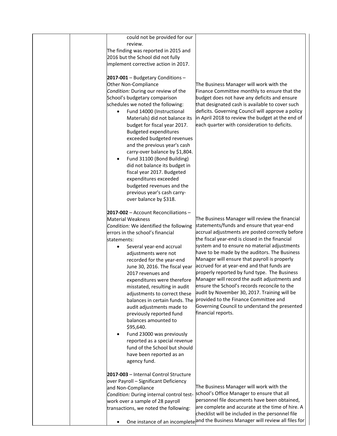|  | could not be provided for our<br>review.<br>The finding was reported in 2015 and<br>2016 but the School did not fully<br>implement corrective action in 2017.<br>2017-001 - Budgetary Conditions -<br>Other Non-Compliance<br>Condition: During our review of the<br>School's budgetary comparison<br>schedules we noted the following:<br>Fund 14000 (Instructional<br>$\bullet$<br>Materials) did not balance its<br>budget for fiscal year 2017.<br><b>Budgeted expenditures</b><br>exceeded budgeted revenues<br>and the previous year's cash<br>carry-over balance by \$1,804.<br>Fund 31100 (Bond Building)<br>$\bullet$<br>did not balance its budget in<br>fiscal year 2017. Budgeted<br>expenditures exceeded<br>budgeted revenues and the<br>previous year's cash carry-<br>over balance by \$318. | The Business Manager will work with the<br>Finance Committee monthly to ensure that the<br>budget does not have any deficits and ensure<br>that designated cash is available to cover such<br>deficits. Governing Council will approve a policy<br>in April 2018 to review the budget at the end of<br>each quarter with consideration to deficits.                                                                                                                                                                                                                                                                                                                                                              |
|--|--------------------------------------------------------------------------------------------------------------------------------------------------------------------------------------------------------------------------------------------------------------------------------------------------------------------------------------------------------------------------------------------------------------------------------------------------------------------------------------------------------------------------------------------------------------------------------------------------------------------------------------------------------------------------------------------------------------------------------------------------------------------------------------------------------------|------------------------------------------------------------------------------------------------------------------------------------------------------------------------------------------------------------------------------------------------------------------------------------------------------------------------------------------------------------------------------------------------------------------------------------------------------------------------------------------------------------------------------------------------------------------------------------------------------------------------------------------------------------------------------------------------------------------|
|  | 2017-002 - Account Reconciliations -<br><b>Material Weakness</b><br>Condition: We identified the following<br>errors in the school's financial<br>statements:<br>Several year-end accrual<br>٠<br>adjustments were not<br>recorded for the year-end<br>June 30, 2016. The fiscal year<br>2017 revenues and<br>expenditures were therefore<br>misstated, resulting in audit<br>adjustments to correct these<br>balances in certain funds. The<br>audit adjustments made to<br>previously reported fund<br>balances amounted to<br>\$95,640.<br>Fund 23000 was previously<br>$\bullet$<br>reported as a special revenue<br>fund of the School but should<br>have been reported as an<br>agency fund.                                                                                                           | The Business Manager will review the financial<br>statements/funds and ensure that year-end<br>accrual adjustments are posted correctly before<br>the fiscal year-end is closed in the financial<br>system and to ensure no material adjustments<br>have to be made by the auditors. The Business<br>Manager will ensure that payroll is properly<br>accrued for at year-end and that funds are<br>properly reported by fund type. The Business<br>Manager will record the audit adjustments and<br>ensure the School's records reconcile to the<br>audit by November 30, 2017. Training will be<br>provided to the Finance Committee and<br>Governing Council to understand the presented<br>financial reports. |
|  | 2017-003 - Internal Control Structure<br>over Payroll - Significant Deficiency<br>and Non-Compliance<br>Condition: During internal control test-<br>work over a sample of 28 payroll<br>transactions, we noted the following:<br>$\bullet$                                                                                                                                                                                                                                                                                                                                                                                                                                                                                                                                                                   | The Business Manager will work with the<br>school's Office Manager to ensure that all<br>personnel file documents have been obtained,<br>are complete and accurate at the time of hire. A<br>checklist will be included in the personnel file<br>One instance of an incomplete and the Business Manager will review all files for                                                                                                                                                                                                                                                                                                                                                                                |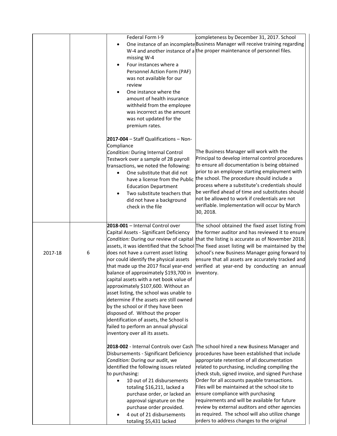|         |   | Federal Form I-9<br>$\bullet$<br>missing W-4<br>Four instances where a<br>Personnel Action Form (PAF)<br>was not available for our<br>review<br>One instance where the<br>amount of health insurance<br>withheld from the employee<br>was incorrect as the amount<br>was not updated for the<br>premium rates.                                                                                                                                                                                                                                                                                                                                                    | completeness by December 31, 2017. School<br>One instance of an incomplete Business Manager will receive training regarding<br>W-4 and another instance of a the proper maintenance of personnel files.                                                                                                                                                                                                                                                                                                                                                                                    |
|---------|---|-------------------------------------------------------------------------------------------------------------------------------------------------------------------------------------------------------------------------------------------------------------------------------------------------------------------------------------------------------------------------------------------------------------------------------------------------------------------------------------------------------------------------------------------------------------------------------------------------------------------------------------------------------------------|--------------------------------------------------------------------------------------------------------------------------------------------------------------------------------------------------------------------------------------------------------------------------------------------------------------------------------------------------------------------------------------------------------------------------------------------------------------------------------------------------------------------------------------------------------------------------------------------|
|         |   | 2017-004 - Staff Qualifications - Non-<br>Compliance<br>Condition: During Internal Control<br>Testwork over a sample of 28 payroll<br>transactions, we noted the following:<br>One substitute that did not<br>$\bullet$<br>have a license from the Public<br><b>Education Department</b><br>Two substitute teachers that<br>did not have a background<br>check in the file                                                                                                                                                                                                                                                                                        | The Business Manager will work with the<br>Principal to develop internal control procedures<br>to ensure all documentation is being obtained<br>prior to an employee starting employment with<br>the school. The procedure should include a<br>process where a substitute's credentials should<br>be verified ahead of time and substitutes should<br>not be allowed to work if credentials are not<br>verifiable. Implementation will occur by March<br>30, 2018.                                                                                                                         |
| 2017-18 | 6 | 2018-001 - Internal Control over<br>Capital Assets - Significant Deficiency<br>Condition: During our review of capital<br>does not have a current asset listing<br>nor could identify the physical assets<br>that made up the 2017 fiscal year-end<br>balance of approximately \$193,700 in<br>capital assets with a net book value of<br>approximately \$107,600. Without an<br>asset listing, the school was unable to<br>determine if the assets are still owned<br>by the school or if they have been<br>disposed of. Without the proper<br>identification of assets, the School is<br>failed to perform an annual physical<br>inventory over all its assets. | The school obtained the fixed asset listing from<br>the former auditor and has reviewed it to ensure<br>that the listing is accurate as of November 2018.<br>assets, it was identified that the School The fixed asset listing will be maintained by the<br>school's new Business Manager going forward to<br>ensure that all assets are accurately tracked and<br>verified at year-end by conducting an annual<br>inventory.                                                                                                                                                              |
|         |   | 2018-002 - Internal Controls over Cash<br>Disbursements - Significant Deficiency<br>Condition: During our audit, we<br>identified the following issues related<br>to purchasing:<br>10 out of 21 disbursements<br>totaling \$16,211, lacked a<br>purchase order, or lacked an<br>approval signature on the<br>purchase order provided.<br>4 out of 21 disbursements<br>totaling \$5,431 lacked                                                                                                                                                                                                                                                                    | The school hired a new Business Manager and<br>procedures have been established that include<br>appropriate retention of all documentation<br>related to purchasing, including compiling the<br>check stub, signed invoice, and signed Purchase<br>Order for all accounts payable transactions.<br>Files will be maintained at the school site to<br>ensure compliance with purchasing<br>requirements and will be available for future<br>review by external auditors and other agencies<br>as required. The school will also utilize change<br>orders to address changes to the original |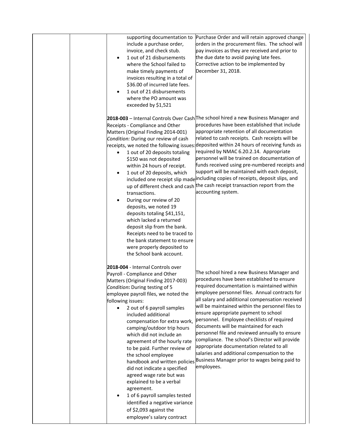| Purchase Order and will retain approved change<br>supporting documentation to<br>orders in the procurement files. The school will<br>include a purchase order,<br>invoice, and check stub.<br>pay invoices as they are received and prior to<br>the due date to avoid paying late fees.<br>1 out of 21 disbursements<br>$\bullet$<br>where the School failed to<br>Corrective action to be implemented by<br>December 31, 2018.<br>make timely payments of<br>invoices resulting in a total of<br>\$36.00 of incurred late fees.<br>1 out of 21 disbursements<br>where the PO amount was<br>exceeded by \$1,521                                                                                                                                                                                                                                                                                                                                                                                                                                                                                                                                                                                                                                                                                                                                                                                                                                |
|------------------------------------------------------------------------------------------------------------------------------------------------------------------------------------------------------------------------------------------------------------------------------------------------------------------------------------------------------------------------------------------------------------------------------------------------------------------------------------------------------------------------------------------------------------------------------------------------------------------------------------------------------------------------------------------------------------------------------------------------------------------------------------------------------------------------------------------------------------------------------------------------------------------------------------------------------------------------------------------------------------------------------------------------------------------------------------------------------------------------------------------------------------------------------------------------------------------------------------------------------------------------------------------------------------------------------------------------------------------------------------------------------------------------------------------------|
| 2018-003 - Internal Controls Over Cash The school hired a new Business Manager and<br>procedures have been established that include<br>Receipts - Compliance and Other<br>appropriate retention of all documentation<br>Matters (Original Finding 2014-001)<br>related to cash receipts. Cash receipts will be<br>Condition: During our review of cash<br>deposited within 24 hours of receiving funds as<br>receipts, we noted the following issues:<br>required by NMAC 6.20.2.14. Appropriate<br>1 out of 20 deposits totaling<br>$\bullet$<br>personnel will be trained on documentation of<br>\$150 was not deposited<br>funds received using pre-numbered receipts and<br>within 24 hours of receipt.<br>support will be maintained with each deposit,<br>1 out of 20 deposits, which<br>٠<br>included one receipt slip made including copies of receipts, deposit slips, and<br>up of different check and cash the cash receipt transaction report from the<br>accounting system.<br>transactions.<br>During our review of 20<br>deposits, we noted 19<br>deposits totaling \$41,151,<br>which lacked a returned<br>deposit slip from the bank.<br>Receipts need to be traced to<br>the bank statement to ensure<br>were properly deposited to<br>the School bank account.                                                                                                                                                              |
| 2018-004 - Internal Controls over<br>The school hired a new Business Manager and<br>Payroll - Compliance and Other<br>procedures have been established to ensure<br>Matters (Original Finding 2017-003)<br>required documentation is maintained within<br>Condition: During testing of 5<br>employee personnel files. Annual contracts for<br>employee payroll files, we noted the<br>all salary and additional compensation received<br>following issues:<br>will be maintained within the personnel files to<br>2 out of 6 payroll samples<br>$\bullet$<br>ensure appropriate payment to school<br>included additional<br>personnel. Employee checklists of required<br>compensation for extra work,<br>documents will be maintained for each<br>camping/outdoor trip hours<br>personnel file and reviewed annually to ensure<br>which did not include an<br>compliance. The school's Director will provide<br>agreement of the hourly rate<br>appropriate documentation related to all<br>to be paid. Further review of<br>salaries and additional compensation to the<br>the school employee<br>Business Manager prior to wages being paid to<br>handbook and written policies<br>employees.<br>did not indicate a specified<br>agreed wage rate but was<br>explained to be a verbal<br>agreement.<br>1 of 6 payroll samples tested<br>$\bullet$<br>identified a negative variance<br>of \$2,093 against the<br>employee's salary contract |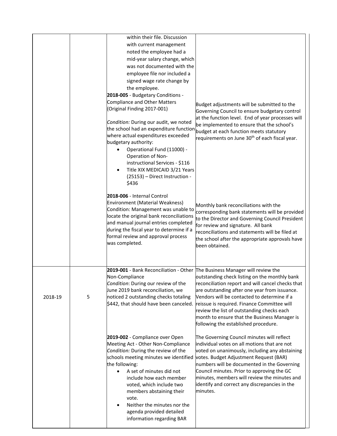|         |   | within their file. Discussion                                                                                                                                                                                                                                                                                                                                                                        |                                                                                                                                                                                                                                                                                                                                                                                                  |
|---------|---|------------------------------------------------------------------------------------------------------------------------------------------------------------------------------------------------------------------------------------------------------------------------------------------------------------------------------------------------------------------------------------------------------|--------------------------------------------------------------------------------------------------------------------------------------------------------------------------------------------------------------------------------------------------------------------------------------------------------------------------------------------------------------------------------------------------|
|         |   | with current management                                                                                                                                                                                                                                                                                                                                                                              |                                                                                                                                                                                                                                                                                                                                                                                                  |
|         |   | noted the employee had a                                                                                                                                                                                                                                                                                                                                                                             |                                                                                                                                                                                                                                                                                                                                                                                                  |
|         |   | mid-year salary change, which                                                                                                                                                                                                                                                                                                                                                                        |                                                                                                                                                                                                                                                                                                                                                                                                  |
|         |   | was not documented with the                                                                                                                                                                                                                                                                                                                                                                          |                                                                                                                                                                                                                                                                                                                                                                                                  |
|         |   | employee file nor included a                                                                                                                                                                                                                                                                                                                                                                         |                                                                                                                                                                                                                                                                                                                                                                                                  |
|         |   | signed wage rate change by                                                                                                                                                                                                                                                                                                                                                                           |                                                                                                                                                                                                                                                                                                                                                                                                  |
|         |   | the employee.                                                                                                                                                                                                                                                                                                                                                                                        |                                                                                                                                                                                                                                                                                                                                                                                                  |
|         |   | 2018-005 - Budgetary Conditions -                                                                                                                                                                                                                                                                                                                                                                    |                                                                                                                                                                                                                                                                                                                                                                                                  |
|         |   | <b>Compliance and Other Matters</b><br>(Original Finding 2017-001)                                                                                                                                                                                                                                                                                                                                   | Budget adjustments will be submitted to the<br>Governing Council to ensure budgetary control                                                                                                                                                                                                                                                                                                     |
|         |   | Condition: During our audit, we noted<br>the school had an expenditure function<br>where actual expenditures exceeded<br>budgetary authority:<br>Operational Fund (11000) -<br>Operation of Non-<br>instructional Services - \$116<br>Title XIX MEDICAID 3/21 Years<br>(25153) - Direct Instruction -<br>\$436                                                                                       | at the function level. End of year processes will<br>be implemented to ensure that the school's<br>budget at each function meets statutory<br>requirements on June 30 <sup>th</sup> of each fiscal year.                                                                                                                                                                                         |
|         |   | 2018-006 - Internal Control<br>Environment (Material Weakness)<br>Condition: Management was unable to<br>locate the original bank reconciliations<br>and manual journal entries completed<br>during the fiscal year to determine if a<br>formal review and approval process<br>was completed.                                                                                                        | Monthly bank reconciliations with the<br>corresponding bank statements will be provided<br>to the Director and Governing Council President<br>for review and signature. All bank<br>reconciliations and statements will be filed at<br>the school after the appropriate approvals have<br>been obtained.                                                                                         |
| 2018-19 | 5 | 2019-001 - Bank Reconciliation - Other The Business Manager will review the<br>Non-Compliance<br>Condition: During our review of the<br>June 2019 bank reconciliation, we<br>noticed 2 outstanding checks totaling<br>\$442, that should have been canceled.                                                                                                                                         | outstanding check listing on the monthly bank<br>reconciliation report and will cancel checks that<br>are outstanding after one year from issuance.<br>Vendors will be contacted to determine if a<br>reissue is required. Finance Committee will<br>review the list of outstanding checks each<br>month to ensure that the Business Manager is<br>following the established procedure.          |
|         |   | 2019-002 - Compliance over Open<br>Meeting Act - Other Non-Compliance<br>Condition: During the review of the<br>schools meeting minutes we identified<br>the following:<br>A set of minutes did not<br>$\bullet$<br>include how each member<br>voted, which include two<br>members abstaining their<br>vote.<br>Neither the minutes nor the<br>agenda provided detailed<br>information regarding BAR | The Governing Council minutes will reflect<br>individual votes on all motions that are not<br>voted on unanimously, including any abstaining<br>votes. Budget Adjustment Request (BAR)<br>numbers will be documented in the Governing<br>Council minutes. Prior to approving the GC<br>minutes, members will review the minutes and<br>identify and correct any discrepancies in the<br>minutes. |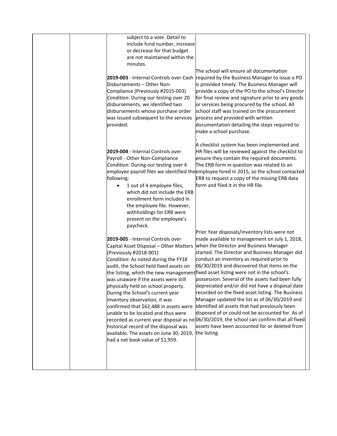| subject to a vote. Detail to<br>include fund number, increase<br>or decrease for that budget<br>are not maintained within the<br>minutes.<br>2019-003 - Internal Controls over Cash<br>Disbursements - Other Non-                                                                                                                                                                                                                                                                                                                                  | The school will ensure all documentation<br>required by the Business Manager to issue a PO<br>is provided timely. The Business Manager will                                                                                                                                                                                                                                                                                                                                                                                                                                                                                                                                                                                                                                                                                                                    |
|----------------------------------------------------------------------------------------------------------------------------------------------------------------------------------------------------------------------------------------------------------------------------------------------------------------------------------------------------------------------------------------------------------------------------------------------------------------------------------------------------------------------------------------------------|----------------------------------------------------------------------------------------------------------------------------------------------------------------------------------------------------------------------------------------------------------------------------------------------------------------------------------------------------------------------------------------------------------------------------------------------------------------------------------------------------------------------------------------------------------------------------------------------------------------------------------------------------------------------------------------------------------------------------------------------------------------------------------------------------------------------------------------------------------------|
| Compliance (Previously #2015-003)<br>Condition: During our testing over 20<br>disbursements, we identified two<br>disbursements whose purchase order<br>was issued subsequent to the services<br>provided.                                                                                                                                                                                                                                                                                                                                         | provide a copy of the PO to the school's Director<br>for final review and signature prior to any goods<br>or services being procured by the school. All<br>school staff was trained on the procurement<br>process and provided with written<br>documentation detailing the steps required to<br>make a school purchase.                                                                                                                                                                                                                                                                                                                                                                                                                                                                                                                                        |
| 2019-004 - Internal Controls over<br>Payroll - Other Non-Compliance<br>Condition: During our testing over 4<br>following:<br>1 out of 4 employee files,<br>which did not include the ERB<br>enrollment form included in<br>the employee file. However,<br>withholdings for ERB were<br>present on the employee's<br>paycheck.                                                                                                                                                                                                                      | A checklist system has been implemented and<br>HR files will be reviewed against the checklist to<br>ensure they contain the required documents.<br>The ERB form in question was related to an<br>employee payroll files we identified the employee hired in 2015, so the school contacted<br>ERB to request a copy of the missing ERB data<br>form and filed it in the HR file.                                                                                                                                                                                                                                                                                                                                                                                                                                                                               |
| 2019-005 - Internal Controls over<br>Capital Asset Disposal - Other Matters<br>(Previously #2018-001)<br>Condition: As noted during the FY18<br>audit, the School held fixed assets on<br>was unaware if the assets were still<br>physically held on school property.<br>During the School's current year<br>inventory observation, it was<br>confirmed that \$62,488 in assets were<br>unable to be located and thus were<br>historical record of the disposal was<br>available. The assets on June 30, 2019,<br>had a net book value of \$1,959. | Prior Year disposals/inventory lists were not<br>made available to management on July 1, 2018,<br>when the Director and Business Manager<br>started. The Director and Business Manager did<br>conduct an inventory as required prior to<br>06/30/2019 and discovered that items on the<br>the listing, which the new management fixed asset listing were not in the school's<br>possession. Several of the assets had been fully<br>depreciated and/or did not have a disposal date<br>recorded on the fixed asset listing. The Business<br>Manager updated the list as of 06/30/2019 and<br>identified all assets that had previously been<br>disposed of or could not be accounted for. As of<br>recorded as current year disposal as no 06/30/2019, the school can confirm that all fixed<br>assets have been accounted for or deleted from<br>the listing. |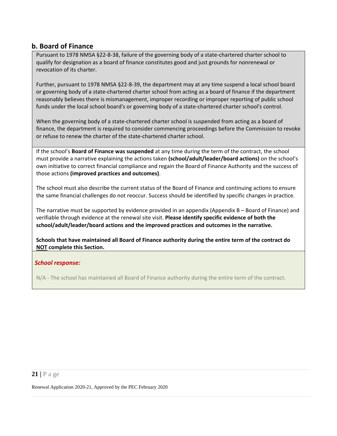## **b. Board of Finance**

Pursuant to 1978 NMSA §22-8-38, failure of the governing body of a state-chartered charter school to qualify for designation as a board of finance constitutes good and just grounds for nonrenewal or revocation of its charter.

Further, pursuant to 1978 NMSA §22-8-39, the department may at any time suspend a local school board or governing body of a state-chartered charter school from acting as a board of finance if the department reasonably believes there is mismanagement, improper recording or improper reporting of public school funds under the local school board's or governing body of a state-chartered charter school's control.

When the governing body of a state-chartered charter school is suspended from acting as a board of finance, the department is required to consider commencing proceedings before the Commission to revoke or refuse to renew the charter of the state-chartered charter school.

If the school's **Board of Finance was suspended** at any time during the term of the contract, the school must provide a narrative explaining the actions taken **(school/adult/leader/board actions)** on the school's own initiative to correct financial compliance and regain the Board of Finance Authority and the success of those actions **(improved practices and outcomes)**.

The school must also describe the current status of the Board of Finance and continuing actions to ensure the same financial challenges do not reoccur. Success should be identified by specific changes in practice.

The narrative must be supported by evidence provided in an appendix (Appendix B – Board of Finance) and verifiable through evidence at the renewal site visit. **Please identify specific evidence of both the school/adult/leader/board actions and the improved practices and outcomes in the narrative.**

**Schools that have maintained all Board of Finance authority during the entire term of the contract do NOT complete this Section.**

### *School response:*

N/A - The school has maintained all Board of Finance authority during the entire term of the contract.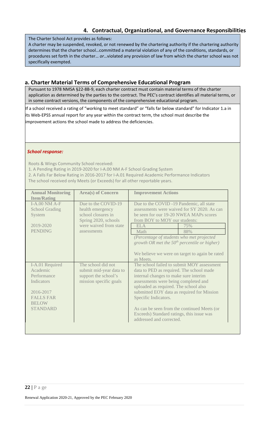## **4. Contractual, Organizational, and Governance Responsibilities**

The Charter School Act provides as follows:

A charter may be suspended, revoked, or not renewed by the chartering authority if the chartering authority determines that the charter school…committed a material violation of any of the conditions, standards, or procedures set forth in the charter… *or*…violated any provision of law from which the charter school was not specifically exempted.

## **a. Charter Material Terms of Comprehensive Educational Program**

Pursuant to 1978 NMSA §22-8B-9, each charter contract must contain material terms of the charter application as determined by the parties to the contract. The PEC's contract identifies all material terms, or in some contract versions, the components of the comprehensive educational program.

If a school received a rating of "working to meet standard" or "falls far below standard" for Indicator 1.a in its Web-EPSS annual report for any year within the contract term, the school must describe the improvement actions the school made to address the deficiencies.

### *School response:*

Roots & Wings Community School received:

1. A Pending Rating in 2019-2020 for I-A.00 NM A-F School Grading System

2. A Falls Far Below Rating in 2016-2017 for I-A.01 Required Academic Performance Indicators The school received only Meets (or Exceeds) for all other reportable years.

| <b>Annual Monitoring</b><br><b>Item/Rating</b>                                                                               | <b>Area(s) of Concern</b>                                                                                                      | <b>Improvement Actions</b>                                                                                                                                                                                                                                                                                                                                                                                     |  |
|------------------------------------------------------------------------------------------------------------------------------|--------------------------------------------------------------------------------------------------------------------------------|----------------------------------------------------------------------------------------------------------------------------------------------------------------------------------------------------------------------------------------------------------------------------------------------------------------------------------------------------------------------------------------------------------------|--|
| $I-A$ 00 NM $A-F$<br><b>School Grading</b><br>System<br>2019-2020<br><b>PENDING</b>                                          | Due to the COVID-19<br>health emergency<br>school closures in<br>Spring 2020, schools<br>were waived from state<br>assessments | Due to the COVID -19 Pandemic, all state<br>assessments were waived for SY 2020. As can<br>be seen for our 19-20 NWEA MAPs scores<br>from BOY to MOY our students:<br><b>ELA</b><br>75%<br>Math<br>88%<br>(Percentage of students who met projected<br>growth OR met the $50th$ percentile or higher)<br>We believe we were on target to again be rated<br>as Meets.                                           |  |
| I-A.01 Required<br>Academic<br>Performance<br>Indicators<br>2016-2017<br><b>FALLS FAR</b><br><b>BELOW</b><br><b>STANDARD</b> | The school did not<br>submit mid-year data to<br>support the school's<br>mission specific goals                                | The school failed to submit MOY assessment<br>data to PED as required. The school made<br>internal changes to make sure interim<br>assessments were being completed and<br>uploaded as required. The school also<br>submitted EOY data as required for Mission<br>Specific Indicators.<br>As can be seen from the continued Meets (or<br>Exceeds) Standard ratings, this issue was<br>addressed and corrected. |  |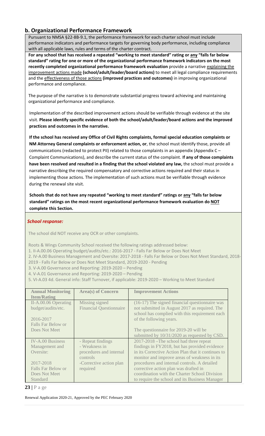## **b. Organizational Performance Framework**

Pursuant to NMSA §22-8B-9.1, the performance framework for each charter school must include performance indicators and performance targets for governing body performance, including compliance with all applicable laws, rules and terms of the charter contract.

**For any school that has received a repeated "working to meet standard" rating or any "falls far below standard" rating for one or more of the organizational performance framework indicators on the most recently completed organizational performance framework evaluation** provide a narrative explaining the improvement actions made **(school/adult/leader/board actions)** to meet all legal compliance requirements and the effectiveness of those actions **(improved practices and outcomes)** in improving organizational performance and compliance.

The purpose of the narrative is to demonstrate substantial progress toward achieving and maintaining organizational performance and compliance.

Implementation of the described improvement actions should be verifiable through evidence at the site visit. **Please identify specific evidence of both the school/adult/leader/board actions and the improved practices and outcomes in the narrative.**

**If the school has received any Office of Civil Rights complaints, formal special education complaints or NM Attorney General complaints or enforcement action, or**, the school must identify those, provide all communications (redacted to protect PII) related to those complaints in an appendix (Appendix C – Complaint Communications), and describe the current status of the complaint. I**f any of those complaints have been resolved and resulted in a finding that the school violated any law,** the school must provide a narrative describing the required compensatory and corrective actions required and their status in implementing those actions. The implementation of such actions must be verifiable through evidence during the renewal site visit.

**Schools that do not have any repeated "working to meet standard" ratings or any "falls far below standard" ratings on the most recent organizational performance framework evaluation do NOT complete this Section.**

### *School response:*

The school did NOT receive any OCR or other complaints.

Roots & Wings Community School received the following ratings addressed below:

- 1. II-A.00.06 Operating budget/audits/etc.: 2016-2017 Falls Far Below or Does Not Meet
- 2. IV-A.00 Business Management and Oversite: 2017-2018 Falls Far Below or Does Not Meet Standard, 2018- 2019 - Falls Far Below or Does Not Meet Standard, 2019-2020 - Pending
- 3. V-A.00 Governance and Reporting: 2019-2020 Pending
- 4. V-A.01 Governance and Reporting: 2019-2020 Pending
- 5. VI-A.03 4d. General info: Staff Turnover, if applicable: 2019-2020 Working to Meet Standard

| <b>Annual Monitoring</b><br><b>Item/Rating</b> | <b>Area(s) of Concern</b>                        | <b>Improvement Actions</b>                                                                                                                        |
|------------------------------------------------|--------------------------------------------------|---------------------------------------------------------------------------------------------------------------------------------------------------|
| II-A.00.06 Operating<br>budget/audits/etc.     | Missing signed<br><b>Financial Questionnaire</b> | (16-17) The signed financial question aire was<br>not submitted in August 2017 as required. The<br>school has complied with this requirement each |
| 2016-2017                                      |                                                  | of the following years.                                                                                                                           |
| Falls Far Below or                             |                                                  |                                                                                                                                                   |
| Does Not Meet                                  |                                                  | The questionnaire for 2019-20 will be                                                                                                             |
|                                                |                                                  | submitted by 10/31/2020 as requested by CSD.                                                                                                      |
| IV-A.00 Business                               | - Repeat findings                                | 2017-2018 – The school had three repeat                                                                                                           |
| Management and                                 | - Weakness in                                    | findings in FY2018, but has provided evidence                                                                                                     |
| Oversite:                                      | procedures and internal                          | in its Corrective Action Plan that it continues to                                                                                                |
|                                                | controls                                         | monitor and improve areas of weakness in its                                                                                                      |
| 2017-2018                                      | -Corrective action plan                          | procedures and internal controls. A detailed                                                                                                      |
| Falls Far Below or                             | required                                         | corrective action plan was drafted in                                                                                                             |
| Does Not Meet                                  |                                                  | coordination with the Charter School Division                                                                                                     |
| Standard                                       |                                                  | to require the school and its Business Manager                                                                                                    |

**23 |** P a ge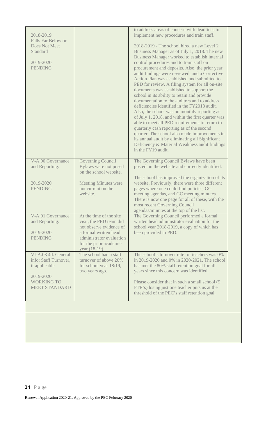| 2018-2019<br>Falls Far Below or<br>Does Not Meet<br>Standard               |                                                                                                                                                                              | to address areas of concern with deadlines to<br>implement new procedures and train staff.<br>2018-2019 - The school hired a new Level 2<br>Business Manager as of July 1, 2018. The new                                                                                                                                                                                                                                                                                                                                                                                                                                                                                                                                                                                                                                                                                   |
|----------------------------------------------------------------------------|------------------------------------------------------------------------------------------------------------------------------------------------------------------------------|----------------------------------------------------------------------------------------------------------------------------------------------------------------------------------------------------------------------------------------------------------------------------------------------------------------------------------------------------------------------------------------------------------------------------------------------------------------------------------------------------------------------------------------------------------------------------------------------------------------------------------------------------------------------------------------------------------------------------------------------------------------------------------------------------------------------------------------------------------------------------|
| 2019-2020<br><b>PENDING</b>                                                |                                                                                                                                                                              | Business Manager worked to establish internal<br>control procedures and to train staff on<br>procurement and deposits. Also, the prior year<br>audit findings were reviewed, and a Corrective<br>Action Plan was established and submitted to<br>PED for review. A filing system for all on-site<br>documents was established to support the<br>school in its ability to retain and provide<br>documentation to the auditors and to address<br>deficiencies identified in the FY2018 audit.<br>Also, the school was on monthly reporting as<br>of July 1, 2018, and within the first quarter was<br>able to meet all PED requirements to return to<br>quarterly cash reporting as of the second<br>quarter. The school also made improvements in<br>its annual audit by eliminating all Significant<br>Deficiency & Material Weakness audit findings<br>in the FY19 audit. |
| V-A.00 Governance<br>and Reporting:<br>2019-2020<br><b>PENDING</b>         | Governing Council<br>Bylaws were not posed<br>on the school website.<br><b>Meeting Minutes were</b><br>not current on the<br>website.                                        | The Governing Council Bylaws have been<br>posted on the website and correctly identified.<br>The school has improved the organization of its<br>website. Previously, there were three different<br>pages where one could find policies, GC<br>meeting agendas, and GC meeting minutes.<br>There is now one page for all of these, with the<br>most recent Governing Council<br>agendas/minutes at the top of the list.                                                                                                                                                                                                                                                                                                                                                                                                                                                     |
| V-A.01 Governance<br>and Reporting:<br>2019-2020<br><b>PENDING</b>         | At the time of the site<br>visit, the PED team did<br>not observe evidence of<br>a formal written head<br>administrator evaluation<br>for the prior academic<br>year (18-19) | The Governing Council performed a formal<br>written head administrator evaluation for the<br>school year 2018-2019, a copy of which has<br>been provided to PED.                                                                                                                                                                                                                                                                                                                                                                                                                                                                                                                                                                                                                                                                                                           |
| VI-A.03 4d. General<br>info: Staff Turnover,<br>if applicable<br>2019-2020 | The school had a staff<br>turnover of above 20%<br>for school year 18/19,<br>two years ago.                                                                                  | The school's turnover rate for teachers was 0%<br>in 2019-2020 and 0% in 2020-2021. The school<br>has met the 80% staff retention goal for all<br>years since this concern was identified.                                                                                                                                                                                                                                                                                                                                                                                                                                                                                                                                                                                                                                                                                 |
| <b>WORKING TO</b><br><b>MEET STANDARD</b>                                  |                                                                                                                                                                              | Please consider that in such a small school (5<br>FTE's) losing just one teacher puts us at the<br>threshold of the PEC's staff retention goal.                                                                                                                                                                                                                                                                                                                                                                                                                                                                                                                                                                                                                                                                                                                            |
|                                                                            |                                                                                                                                                                              |                                                                                                                                                                                                                                                                                                                                                                                                                                                                                                                                                                                                                                                                                                                                                                                                                                                                            |

# **24 |** P a ge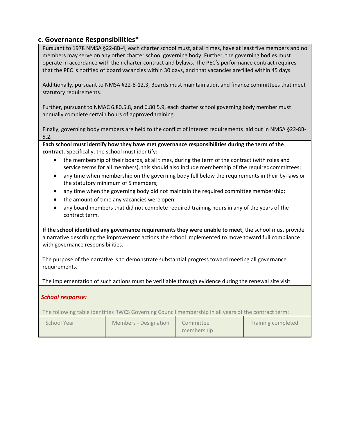## **c. Governance Responsibilities\***

Pursuant to 1978 NMSA §22-8B-4, each charter school must, at all times, have at least five members and no members may serve on any other charter school governing body. Further, the governing bodies must operate in accordance with their charter contract and bylaws. The PEC's performance contract requires that the PEC is notified of board vacancies within 30 days, and that vacancies arefilled within 45 days.

Additionally, pursuant to NMSA §22-8-12.3, Boards must maintain audit and finance committees that meet statutory requirements.

Further, pursuant to NMAC 6.80.5.8, and 6.80.5.9, each charter school governing body member must annually complete certain hours of approved training.

Finally, governing body members are held to the conflict of interest requirements laid out in NMSA §22-8B-5.2.

**Each school must identify how they have met governance responsibilities during the term of the contract.** Specifically, the school must identify:

- the membership of their boards, at all times, during the term of the contract (with roles and service terms for all members), this should also include membership of the requiredcommittees;
- any time when membership on the governing body fell below the requirements in their by-laws or the statutory minimum of 5 members;
- any time when the governing body did not maintain the required committee membership;
- the amount of time any vacancies were open;
- any board members that did not complete required training hours in any of the years of the contract term.

**If the school identified any governance requirements they were unable to meet**, the school must provide a narrative describing the improvement actions the school implemented to move toward full compliance with governance responsibilities.

The purpose of the narrative is to demonstrate substantial progress toward meeting all governance requirements.

The implementation of such actions must be verifiable through evidence during the renewal site visit.

#### *School response:*

The following table identifies RWCS Governing Council membership in all years of the contract term:

| School Year | Members - Designation | Committee<br>membership | Training completed |
|-------------|-----------------------|-------------------------|--------------------|
|-------------|-----------------------|-------------------------|--------------------|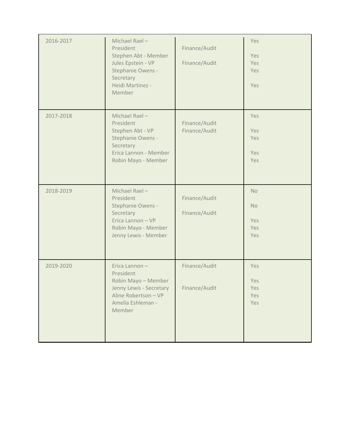| 2016-2017 | Michael Rael-<br>President<br>Stephen Abt - Member<br>Jules Epstein - VP<br>Stephanie Owens -<br>Secretary<br>Heidi Martinez -<br>Member | Finance/Audit<br>Finance/Audit | Yes<br>Yes<br>Yes<br>Yes<br>Yes             |
|-----------|------------------------------------------------------------------------------------------------------------------------------------------|--------------------------------|---------------------------------------------|
| 2017-2018 | Michael Rael-<br>President<br>Stephen Abt - VP<br>Stephanie Owens -<br>Secretary<br>Erica Lannon - Member<br>Robin Mayo - Member         | Finance/Audit<br>Finance/Audit | Yes<br>Yes<br>Yes<br>Yes<br>Yes             |
| 2018-2019 | Michael Rael-<br>President<br>Stephanie Owens -<br>Secretary<br>Erica Lannon - VP<br>Robin Mayo - Member<br>Jenny Lewis - Member         | Finance/Audit<br>Finance/Audit | <b>No</b><br><b>No</b><br>Yes<br>Yes<br>Yes |
| 2019-2020 | Erica Lannon-<br>President<br>Robin Mayo - Member<br>Jenny Lewis - Secretary<br>Aline Robertson - VP<br>Amelia Eshleman -<br>Member      | Finance/Audit<br>Finance/Audit | Yes<br>Yes<br>Yes<br>Yes<br>Yes             |